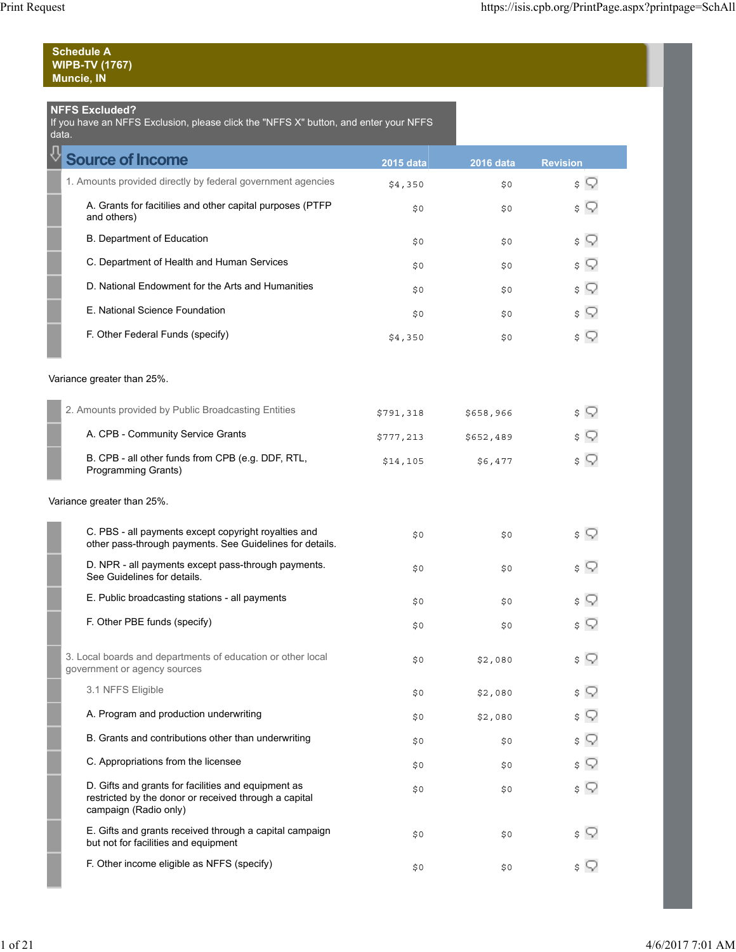| <b>Schedule A</b>     |  |
|-----------------------|--|
| <b>WIPB-TV (1767)</b> |  |
| Muncie, IN            |  |

## **NFFS Excluded?**

If you have an NFFS Exclusion, please click the "NFFS X" button, and enter your NFFS

| data.                                                                                                                                 |                  |                  |                 |
|---------------------------------------------------------------------------------------------------------------------------------------|------------------|------------------|-----------------|
| <b>Source of Income</b>                                                                                                               | <b>2015 data</b> | <b>2016 data</b> | <b>Revision</b> |
| 1. Amounts provided directly by federal government agencies                                                                           | \$4,350          | \$0              | \$ Y            |
| A. Grants for facitilies and other capital purposes (PTFP<br>and others)                                                              | \$0              | \$0              | \$ Y            |
| B. Department of Education                                                                                                            | \$0              | \$0              | \$ Y            |
| C. Department of Health and Human Services                                                                                            | \$0              | \$0              | \$ ?            |
| D. National Endowment for the Arts and Humanities                                                                                     | \$0              | \$0              | \$ Q            |
| E. National Science Foundation                                                                                                        | \$0              | \$0              | s V             |
| F. Other Federal Funds (specify)                                                                                                      | \$4,350          | \$0              | \$ ?            |
| Variance greater than 25%.                                                                                                            |                  |                  |                 |
| 2. Amounts provided by Public Broadcasting Entities                                                                                   | \$791,318        | \$658,966        | \$ Y            |
| A. CPB - Community Service Grants                                                                                                     | \$777,213        | \$652,489        | \$              |
| B. CPB - all other funds from CPB (e.g. DDF, RTL,<br>Programming Grants)                                                              | \$14,105         | \$6,477          | \$ ?            |
| Variance greater than 25%.                                                                                                            |                  |                  |                 |
| C. PBS - all payments except copyright royalties and<br>other pass-through payments. See Guidelines for details.                      | \$0              | \$0              | \$ ?            |
| D. NPR - all payments except pass-through payments.<br>See Guidelines for details.                                                    | \$0              | \$0              | \$ Y            |
| E. Public broadcasting stations - all payments                                                                                        | \$0              | \$0              | s V             |
| F. Other PBE funds (specify)                                                                                                          | \$0              | \$0              | \$ Y            |
| 3. Local boards and departments of education or other local<br>government or agency sources                                           | \$0              | \$2,080          | \$              |
| 3.1 NFFS Eligible                                                                                                                     | \$0              | \$2,080          |                 |
| A. Program and production underwriting                                                                                                | \$0              | \$2,080          |                 |
| B. Grants and contributions other than underwriting                                                                                   | \$0              | \$0              | \$              |
| C. Appropriations from the licensee                                                                                                   | \$0              | \$0              | \$              |
| D. Gifts and grants for facilities and equipment as<br>restricted by the donor or received through a capital<br>campaign (Radio only) | \$0              | \$0              | \$ ?            |
| E. Gifts and grants received through a capital campaign<br>but not for facilities and equipment                                       | \$0              | \$0              | \$ W            |
| F. Other income eligible as NFFS (specify)                                                                                            | \$0              | \$0              | \$ \            |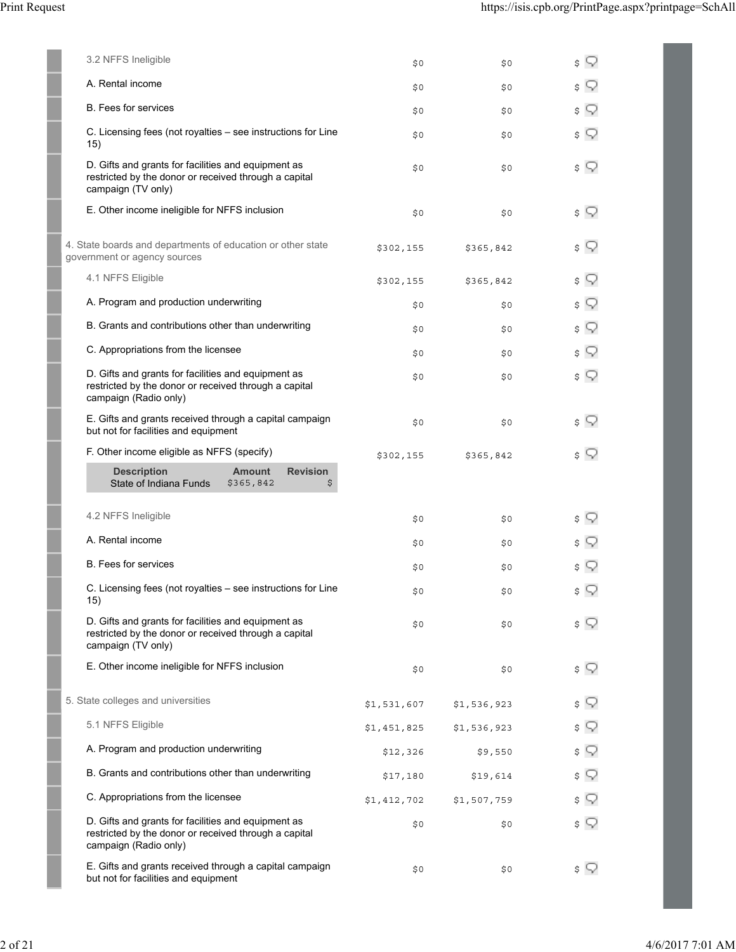| 3.2 NFFS Ineligible                                                                                                                   | \$0         | \$0         | $\sqrt{ }$ |
|---------------------------------------------------------------------------------------------------------------------------------------|-------------|-------------|------------|
| A. Rental income                                                                                                                      | \$0         | \$0         | \$ V       |
| <b>B.</b> Fees for services                                                                                                           | \$0         | \$0         | $\sqrt{ }$ |
| C. Licensing fees (not royalties - see instructions for Line<br>15)                                                                   | \$0         | \$0         | $\sqrt{ }$ |
| D. Gifts and grants for facilities and equipment as<br>restricted by the donor or received through a capital<br>campaign (TV only)    | \$0         | \$0         | \$ ?       |
| E. Other income ineligible for NFFS inclusion                                                                                         | \$0         | \$0         | \$ ?       |
| 4. State boards and departments of education or other state<br>government or agency sources                                           | \$302,155   | \$365,842   | \$ Y       |
| 4.1 NFFS Eligible                                                                                                                     | \$302,155   | \$365,842   | $\sqrt{ }$ |
| A. Program and production underwriting                                                                                                | \$0         | \$0         | $\sqrt{ }$ |
| B. Grants and contributions other than underwriting                                                                                   | \$0         | \$0         | \$ Q       |
| C. Appropriations from the licensee                                                                                                   | \$0         | \$0         | $\sqrt{ }$ |
| D. Gifts and grants for facilities and equipment as<br>restricted by the donor or received through a capital<br>campaign (Radio only) | \$0         | \$0         | \$ ?       |
| E. Gifts and grants received through a capital campaign<br>but not for facilities and equipment                                       | \$0         | \$0         | \$ V       |
| F. Other income eligible as NFFS (specify)                                                                                            | \$302,155   | \$365,842   | \$ V       |
| <b>Description</b><br><b>Amount</b><br><b>Revision</b><br>State of Indiana Funds<br>\$365,842<br>\$                                   |             |             |            |
| 4.2 NFFS Ineligible                                                                                                                   | \$0         | \$0         | $\sqrt{ }$ |
| A. Rental income                                                                                                                      | \$0         | \$0         | \$ W       |
| <b>B.</b> Fees for services                                                                                                           | \$0         | \$0         | \$ Y       |
| C. Licensing fees (not royalties - see instructions for Line<br>15)                                                                   | \$0         | \$0         | $\sqrt{ }$ |
| D. Gifts and grants for facilities and equipment as<br>restricted by the donor or received through a capital<br>campaign (TV only)    | \$0         | \$0         | \$ V       |
| E. Other income ineligible for NFFS inclusion                                                                                         | \$0         | \$0         | $\sqrt{ }$ |
| 5. State colleges and universities                                                                                                    | \$1,531,607 | \$1,536,923 | $\sqrt{ }$ |
| 5.1 NFFS Eligible                                                                                                                     | \$1,451,825 | \$1,536,923 | $\sqrt{ }$ |
| A. Program and production underwriting                                                                                                | \$12,326    | \$9,550     | $\sqrt{ }$ |
| B. Grants and contributions other than underwriting                                                                                   | \$17,180    | \$19,614    | $\sqrt{ }$ |
| C. Appropriations from the licensee                                                                                                   | \$1,412,702 | \$1,507,759 | $\sqrt{ }$ |
| D. Gifts and grants for facilities and equipment as<br>restricted by the donor or received through a capital<br>campaign (Radio only) | \$0         | \$0         | \$ ?       |
| E. Gifts and grants received through a capital campaign<br>but not for facilities and equipment                                       | \$0         | \$0         | \$ V       |
|                                                                                                                                       |             |             |            |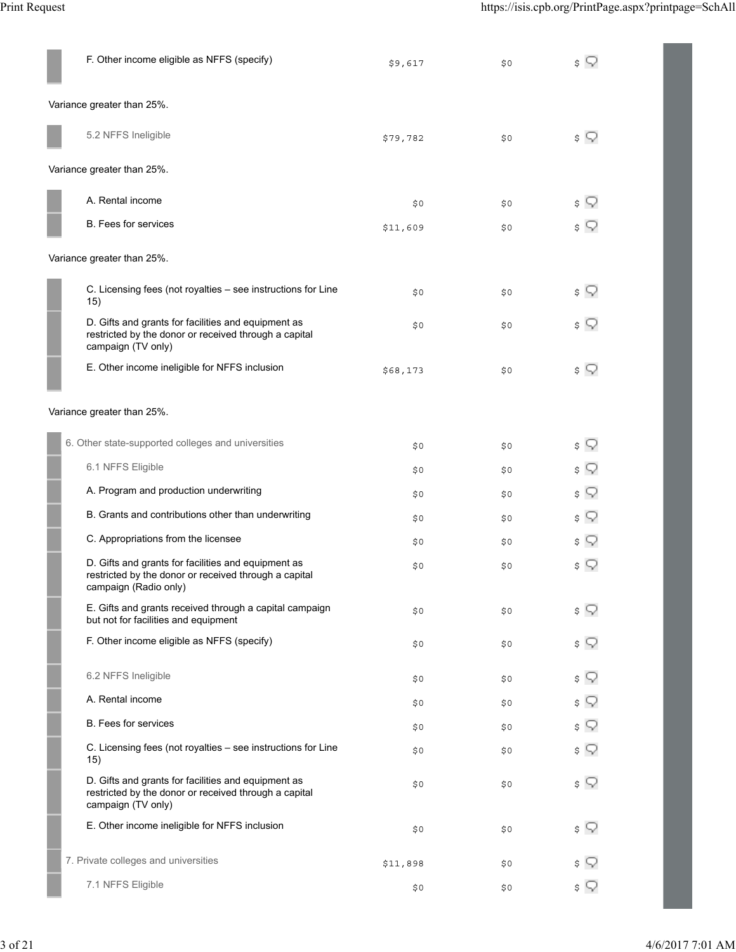| F. Other income eligible as NFFS (specify)                                                                                            | \$9,617  | \$0 | $\sqrt{ }$ |
|---------------------------------------------------------------------------------------------------------------------------------------|----------|-----|------------|
| Variance greater than 25%.                                                                                                            |          |     |            |
| 5.2 NFFS Ineligible                                                                                                                   | \$79,782 | \$0 | $\sqrt{ }$ |
| Variance greater than 25%.                                                                                                            |          |     |            |
| A. Rental income                                                                                                                      | \$0\$    | \$0 | \$ Q       |
| <b>B.</b> Fees for services                                                                                                           | \$11,609 | \$0 | \$ ?       |
| Variance greater than 25%.                                                                                                            |          |     |            |
| C. Licensing fees (not royalties - see instructions for Line<br>15)                                                                   | \$0\$    | \$0 | \$ ?       |
| D. Gifts and grants for facilities and equipment as<br>restricted by the donor or received through a capital<br>campaign (TV only)    | \$0\$    | \$0 | \$ ?       |
| E. Other income ineligible for NFFS inclusion                                                                                         | \$68,173 | \$0 | \$ ?       |
| Variance greater than 25%.                                                                                                            |          |     |            |
| 6. Other state-supported colleges and universities                                                                                    | \$0\$    | \$0 | \$ ?       |
| 6.1 NFFS Eligible                                                                                                                     | \$0\$    | \$0 | \$ ?       |
| A. Program and production underwriting                                                                                                | \$0\$    | \$0 | $\sqrt{ }$ |
| B. Grants and contributions other than underwriting                                                                                   | \$0      | \$0 | $\sqrt{ }$ |
| C. Appropriations from the licensee                                                                                                   | \$0      | \$0 | \$ ?       |
| D. Gifts and grants for facilities and equipment as<br>restricted by the donor or received through a capital<br>campaign (Radio only) | \$0      | \$0 | \$ ?       |
| E. Gifts and grants received through a capital campaign<br>but not for facilities and equipment                                       | \$0      | \$0 | \$ Y       |
| F. Other income eligible as NFFS (specify)                                                                                            | \$0\$    | \$0 | \$ Q       |
| 6.2 NFFS Ineligible                                                                                                                   | \$0\$    | \$0 | \$ ?       |
| A. Rental income                                                                                                                      | \$0\$    | \$0 | \$ Q       |
| <b>B.</b> Fees for services                                                                                                           | \$0\$    | \$0 | \$ Q       |
| C. Licensing fees (not royalties - see instructions for Line<br>15)                                                                   | \$0\$    | \$0 | $\phi$     |
| D. Gifts and grants for facilities and equipment as<br>restricted by the donor or received through a capital<br>campaign (TV only)    | \$0\$    | \$0 | \$ ?       |
| E. Other income ineligible for NFFS inclusion                                                                                         | \$0\$    | \$0 | \$ ?       |
| 7. Private colleges and universities                                                                                                  | \$11,898 | \$0 | \$ ?       |
| 7.1 NFFS Eligible                                                                                                                     | \$0      | \$0 | $\sqrt{ }$ |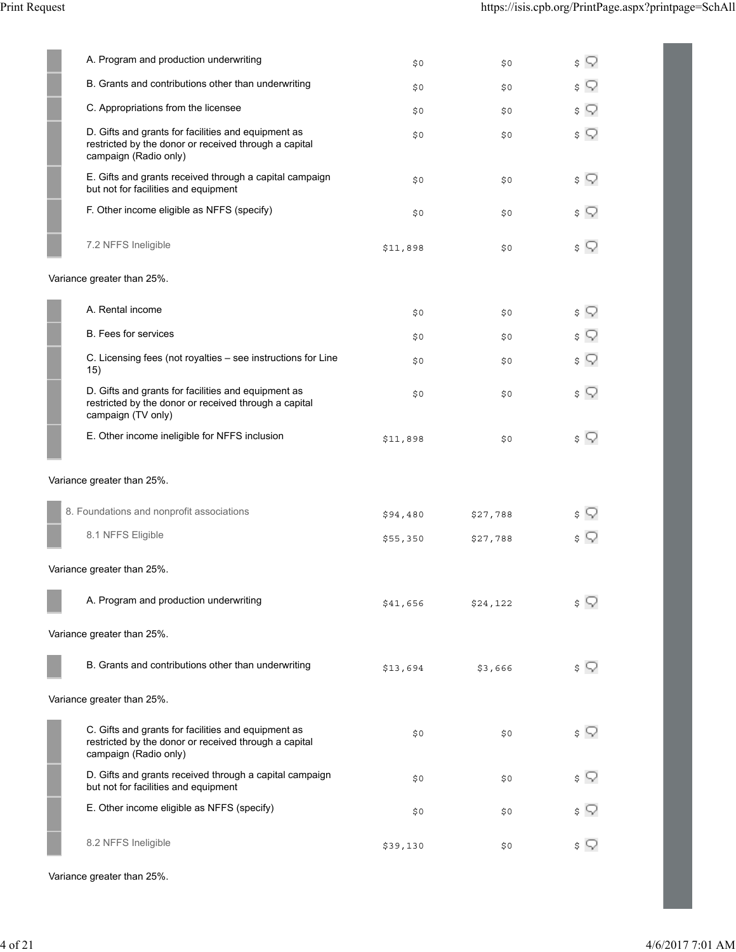| A. Program and production underwriting                                                                                                | \$0      | \$0      | \$         |
|---------------------------------------------------------------------------------------------------------------------------------------|----------|----------|------------|
| B. Grants and contributions other than underwriting                                                                                   | \$0      | \$0      | \$         |
| C. Appropriations from the licensee                                                                                                   | \$0      | \$0      | \$         |
| D. Gifts and grants for facilities and equipment as<br>restricted by the donor or received through a capital<br>campaign (Radio only) | \$0      | \$0      | $\sqrt{ }$ |
| E. Gifts and grants received through a capital campaign<br>but not for facilities and equipment                                       | \$0      | \$0      | $\sqrt{ }$ |
| F. Other income eligible as NFFS (specify)                                                                                            | \$0      | \$0      | \$ W       |
| 7.2 NFFS Ineligible                                                                                                                   | \$11,898 | \$0      | \$ Q       |
| Variance greater than 25%.                                                                                                            |          |          |            |
| A. Rental income                                                                                                                      | \$0      | \$0      | \$ ?       |
| <b>B.</b> Fees for services                                                                                                           | \$0      | \$0      | Q<br>\$    |
| C. Licensing fees (not royalties - see instructions for Line<br>15)                                                                   | \$0      | \$0      | \$ ?       |
| D. Gifts and grants for facilities and equipment as<br>restricted by the donor or received through a capital<br>campaign (TV only)    | \$0      | \$0      | \$ Q       |
| E. Other income ineligible for NFFS inclusion                                                                                         | \$11,898 | \$0      | \$ ?       |
| Variance greater than 25%.                                                                                                            |          |          |            |
| 8. Foundations and nonprofit associations                                                                                             | \$94,480 | \$27,788 | \$         |
| 8.1 NFFS Eligible                                                                                                                     | \$55,350 | \$27,788 | \$ V       |
| Variance greater than 25%.                                                                                                            |          |          |            |
| A. Program and production underwriting                                                                                                | \$41,656 | \$24,122 | $\sqrt{ }$ |
| Variance greater than 25%.                                                                                                            |          |          |            |
| B. Grants and contributions other than underwriting                                                                                   | \$13,694 | \$3,666  | \$ Y       |
| Variance greater than 25%.                                                                                                            |          |          |            |
| C. Gifts and grants for facilities and equipment as<br>restricted by the donor or received through a capital<br>campaign (Radio only) | \$0      | \$0      | $\sqrt{ }$ |
| D. Gifts and grants received through a capital campaign<br>but not for facilities and equipment                                       | \$0      | \$0      | \$<br>Q    |
| E. Other income eligible as NFFS (specify)                                                                                            | \$0      | \$0      | \$         |
| 8.2 NFFS Ineligible                                                                                                                   | \$39,130 | \$0      | \$ V       |

Variance greater than 25%.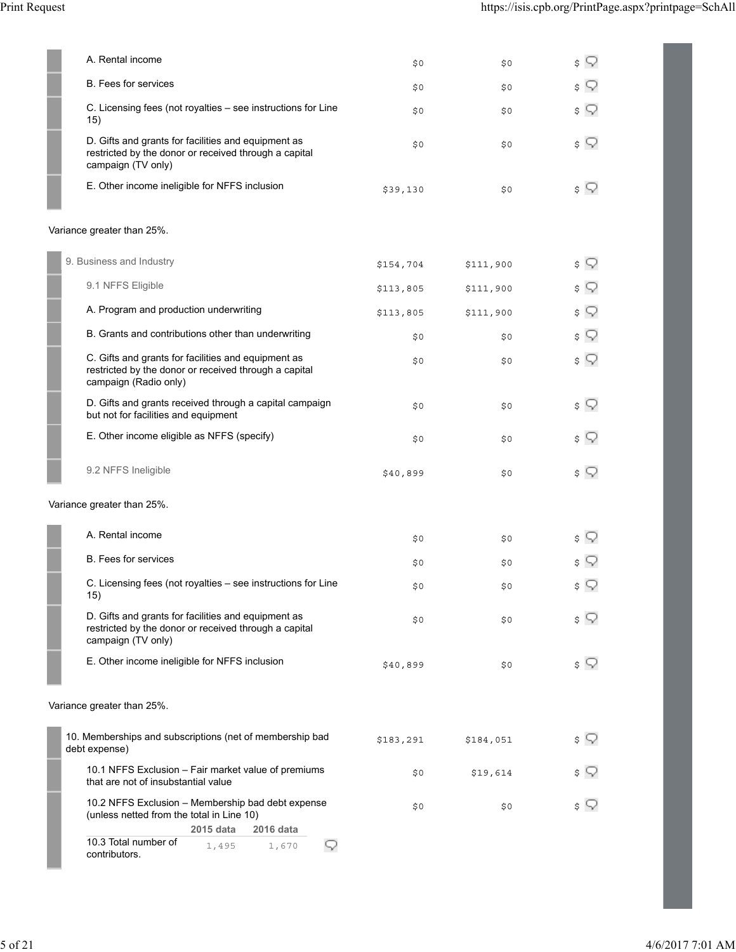|                            | A. Rental income                                                                                                                                                                         | \$0\$     | \$0       | $\sqrt{ }$ |
|----------------------------|------------------------------------------------------------------------------------------------------------------------------------------------------------------------------------------|-----------|-----------|------------|
|                            | B. Fees for services                                                                                                                                                                     | \$0       | \$0       | $\sqrt{ }$ |
|                            | C. Licensing fees (not royalties - see instructions for Line<br>15)                                                                                                                      | \$0       | \$0       | $\sqrt{ }$ |
|                            | D. Gifts and grants for facilities and equipment as<br>restricted by the donor or received through a capital<br>campaign (TV only)                                                       | \$0       | \$0       | \$ ?       |
|                            | E. Other income ineligible for NFFS inclusion                                                                                                                                            | \$39,130  | \$0       | \$ Y       |
|                            | Variance greater than 25%.                                                                                                                                                               |           |           |            |
|                            | 9. Business and Industry                                                                                                                                                                 | \$154,704 | \$111,900 | $\sqrt{ }$ |
|                            | 9.1 NFFS Eligible                                                                                                                                                                        | \$113,805 | \$111,900 | $\sqrt{ }$ |
|                            | A. Program and production underwriting                                                                                                                                                   | \$113,805 | \$111,900 | \$ Q       |
|                            | B. Grants and contributions other than underwriting                                                                                                                                      | \$0       | \$0       | $\sqrt{ }$ |
|                            | C. Gifts and grants for facilities and equipment as<br>restricted by the donor or received through a capital<br>campaign (Radio only)                                                    | \$0       | \$0       | \$ ?       |
|                            | D. Gifts and grants received through a capital campaign<br>but not for facilities and equipment                                                                                          | \$0       | \$0       | \$ ?       |
|                            | E. Other income eligible as NFFS (specify)                                                                                                                                               | \$0       | \$0       | $\sqrt{ }$ |
|                            | 9.2 NFFS Ineligible                                                                                                                                                                      | \$40,899  | \$0       | \$ Y       |
|                            | Variance greater than 25%.                                                                                                                                                               |           |           |            |
|                            | A. Rental income                                                                                                                                                                         | \$0       | \$0       | $\sqrt{ }$ |
|                            | <b>B.</b> Fees for services                                                                                                                                                              | \$0\$     | \$0       | \$ ?       |
|                            | C. Licensing fees (not royalties - see instructions for Line<br>15)                                                                                                                      | $\$0$     | $\$0$     | \$ ?       |
|                            | D. Gifts and grants for facilities and equipment as<br>restricted by the donor or received through a capital<br>campaign (TV only)                                                       | \$0       | \$0       | \$ V       |
|                            | E. Other income ineligible for NFFS inclusion                                                                                                                                            | \$40,899  | \$0       | \$ Y       |
| Variance greater than 25%. |                                                                                                                                                                                          |           |           |            |
|                            | 10. Memberships and subscriptions (net of membership bad<br>debt expense)                                                                                                                | \$183,291 | \$184,051 | \$ Q       |
|                            | 10.1 NFFS Exclusion - Fair market value of premiums<br>that are not of insubstantial value                                                                                               | \$0       | \$19,614  | \$ Y       |
|                            | 10.2 NFFS Exclusion - Membership bad debt expense<br>(unless netted from the total in Line 10)<br>2015 data<br>2016 data<br>10.3 Total number of<br>9<br>1,495<br>1,670<br>contributors. | \$0       | \$0       | \$ Y       |
|                            |                                                                                                                                                                                          |           |           |            |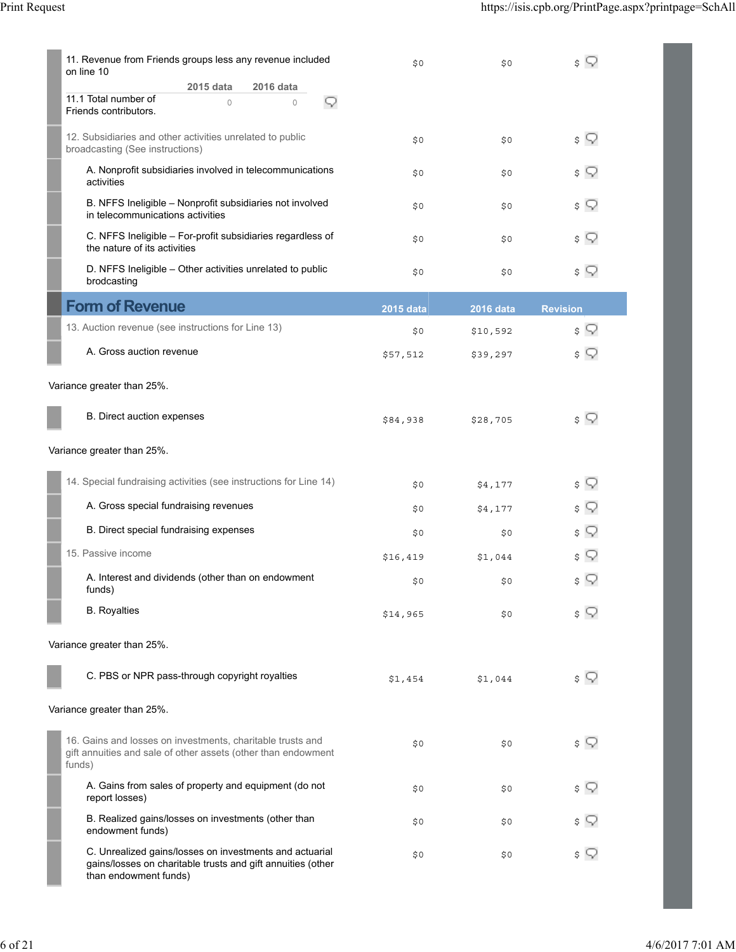|                            | 11. Revenue from Friends groups less any revenue included<br>on line 10                                                                         | \$0\$            | \$0              | $\sqrt{ }$      |  |
|----------------------------|-------------------------------------------------------------------------------------------------------------------------------------------------|------------------|------------------|-----------------|--|
|                            | 2015 data<br>2016 data<br>11.1 Total number of<br>$\circ$<br>$\circ$<br>Q<br>Friends contributors.                                              |                  |                  |                 |  |
|                            | 12. Subsidiaries and other activities unrelated to public<br>broadcasting (See instructions)                                                    | \$0\$            | \$0              | $\sqrt{ }$      |  |
|                            | A. Nonprofit subsidiaries involved in telecommunications<br>activities                                                                          | \$0              | \$0              | \$ ?            |  |
|                            | B. NFFS Ineligible - Nonprofit subsidiaries not involved<br>in telecommunications activities                                                    | \$0\$            | \$0              | \$ ?            |  |
|                            | C. NFFS Ineligible - For-profit subsidiaries regardless of<br>the nature of its activities                                                      | \$0\$            | \$0              | \$ ?            |  |
|                            | D. NFFS Ineligible - Other activities unrelated to public<br>brodcasting                                                                        | \$0\$            | \$0              | $\sqrt{ }$      |  |
|                            | <b>Form of Revenue</b>                                                                                                                          | <b>2015 data</b> | <b>2016</b> data | <b>Revision</b> |  |
|                            | 13. Auction revenue (see instructions for Line 13)                                                                                              | \$0\$            | \$10,592         | \$ ?            |  |
|                            | A. Gross auction revenue                                                                                                                        | \$57,512         | \$39,297         | \$ Q            |  |
|                            | Variance greater than 25%.                                                                                                                      |                  |                  |                 |  |
|                            | B. Direct auction expenses                                                                                                                      | \$84,938         | \$28,705         | $\sqrt{ }$      |  |
|                            | Variance greater than 25%.                                                                                                                      |                  |                  |                 |  |
|                            | 14. Special fundraising activities (see instructions for Line 14)                                                                               | \$0\$            | \$4,177          | $\sqrt{ }$      |  |
|                            | A. Gross special fundraising revenues                                                                                                           | \$0\$            | \$4,177          | \$ ?            |  |
|                            | B. Direct special fundraising expenses                                                                                                          | \$0              | \$0              | s Q             |  |
|                            | 15. Passive income                                                                                                                              | \$16,419         | \$1,044          | \$ Q            |  |
|                            | A. Interest and dividends (other than on endowment<br>funds)                                                                                    | \$0              | \$0              | \$ Q            |  |
|                            | <b>B.</b> Royalties                                                                                                                             | \$14,965         | \$0              | \$ Y            |  |
|                            | Variance greater than 25%.                                                                                                                      |                  |                  |                 |  |
|                            | C. PBS or NPR pass-through copyright royalties                                                                                                  | \$1,454          | \$1,044          | $\sqrt{ }$      |  |
| Variance greater than 25%. |                                                                                                                                                 |                  |                  |                 |  |
|                            | 16. Gains and losses on investments, charitable trusts and<br>gift annuities and sale of other assets (other than endowment<br>funds)           | \$0              | \$0              | \$ ?            |  |
|                            | A. Gains from sales of property and equipment (do not<br>report losses)                                                                         | \$0\$            | \$0              | \$ ?            |  |
|                            | B. Realized gains/losses on investments (other than<br>endowment funds)                                                                         | \$0              | \$0              | \$ ?            |  |
|                            | C. Unrealized gains/losses on investments and actuarial<br>gains/losses on charitable trusts and gift annuities (other<br>than endowment funds) | \$0\$            | \$0              | \$ ?            |  |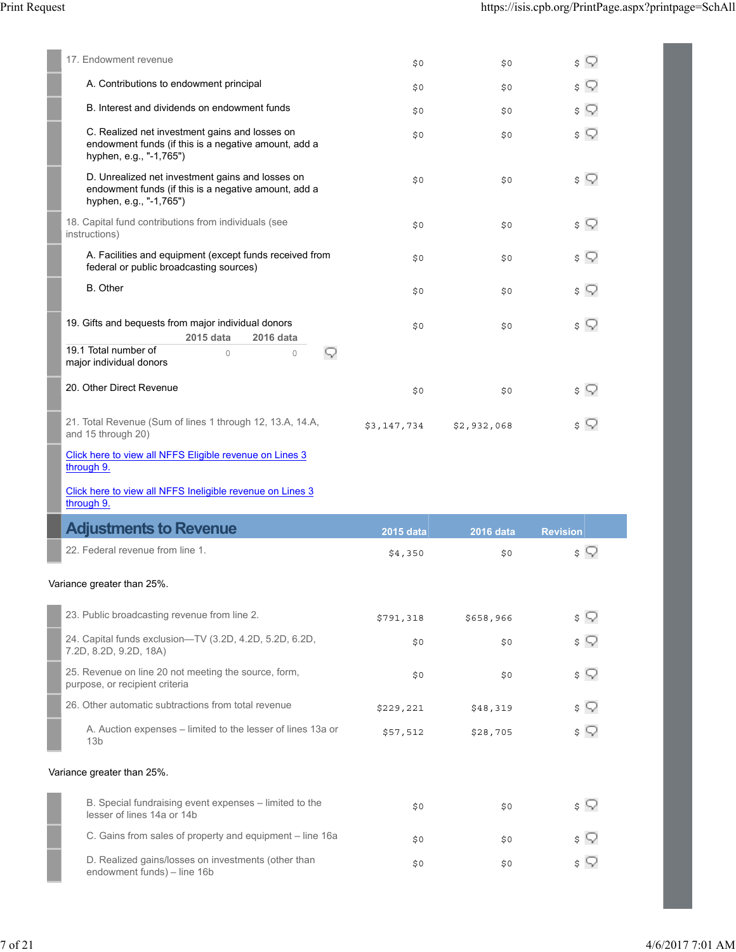| 17. Endowment revenue                                                                                                                                       | \$0         | \$0              | s Q             |
|-------------------------------------------------------------------------------------------------------------------------------------------------------------|-------------|------------------|-----------------|
| A. Contributions to endowment principal                                                                                                                     | \$0         | \$0              | \$ Q            |
| B. Interest and dividends on endowment funds                                                                                                                | \$0         | \$0              | \$ Y            |
| C. Realized net investment gains and losses on<br>endowment funds (if this is a negative amount, add a<br>hyphen, e.g., "-1,765")                           | \$0         | \$0              | \$ Q            |
| D. Unrealized net investment gains and losses on<br>endowment funds (if this is a negative amount, add a<br>hyphen, e.g., "-1,765")                         | \$0         | \$0              | $\sqrt{ }$      |
| 18. Capital fund contributions from individuals (see<br>instructions)                                                                                       | \$0         | \$0              | s Q             |
| A. Facilities and equipment (except funds received from<br>federal or public broadcasting sources)                                                          | \$0         | \$0              | $\sqrt{ }$      |
| <b>B.</b> Other                                                                                                                                             | \$0         | \$0              | $\sqrt{ }$      |
| 19. Gifts and bequests from major individual donors<br>2015 data<br>2016 data<br>19.1 Total number of<br>Q<br>$\circ$<br>$\circ$<br>major individual donors | \$0         | \$0              | s V             |
| 20. Other Direct Revenue                                                                                                                                    | \$0         | \$0              | $\sqrt{ }$      |
| 21. Total Revenue (Sum of lines 1 through 12, 13.A, 14.A,<br>and 15 through 20)                                                                             | \$3,147,734 | \$2,932,068      | s V             |
| Click here to view all NFFS Eligible revenue on Lines 3<br>through 9.                                                                                       |             |                  |                 |
| Click here to view all NFFS Ineligible revenue on Lines 3<br>through 9.                                                                                     |             |                  |                 |
| <b>Adjustments to Revenue</b>                                                                                                                               | 2015 data   | <b>2016 data</b> | <b>Revision</b> |
| 22. Federal revenue from line 1.                                                                                                                            | \$4,350     | \$0              | $\sqrt{ }$      |
| Variance greater than 25%.                                                                                                                                  |             |                  |                 |
| 23. Public broadcasting revenue from line 2.                                                                                                                | \$791,318   | \$658,966        | s Q             |
| 24. Capital funds exclusion—TV (3.2D, 4.2D, 5.2D, 6.2D,                                                                                                     | \$0         | \$0              | $\sqrt{ }$      |

| 7.2D, 8.2D, 9.2D, 18A)                                                                 | ں جب      | ں جب     | $\sim$ $\sim$ |
|----------------------------------------------------------------------------------------|-----------|----------|---------------|
| 25. Revenue on line 20 not meeting the source, form,<br>purpose, or recipient criteria | \$0       | \$0      | \$ Y          |
| 26. Other automatic subtractions from total revenue                                    | \$229,221 | \$48,319 | \$ Y          |
| A. Auction expenses – limited to the lesser of lines 13a or<br>13 <sub>b</sub>         | \$57,512  | \$28,705 | \$ Q          |
| Variance greater than 25%.                                                             |           |          |               |
| B. Special fundraising event expenses – limited to the                                 | ŠΩ        | S O      |               |

| B. Special fundraising event expenses – limited to the<br>lesser of lines 14a or 14b | S0  | S0  | \$ Y       |
|--------------------------------------------------------------------------------------|-----|-----|------------|
| C. Gains from sales of property and equipment – line 16a                             | \$0 | S O | \$ Y       |
| D. Realized gains/losses on investments (other than<br>endowment funds) – line 16b   | \$0 | SO. | $\sqrt{ }$ |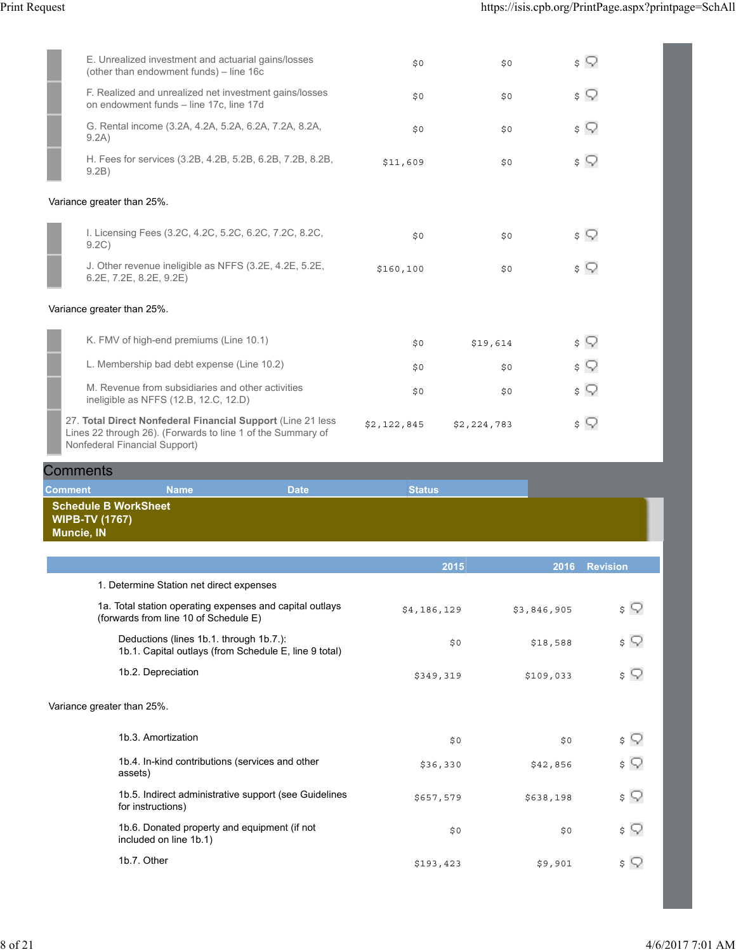$\overline{\phantom{a}}$ 

| E. Unrealized investment and actuarial gains/losses<br>(other than endowment funds) - line 16c                                                               | \$0         | \$0         | $\sqrt{ }$ |
|--------------------------------------------------------------------------------------------------------------------------------------------------------------|-------------|-------------|------------|
| F. Realized and unrealized net investment gains/losses<br>on endowment funds - line 17c, line 17d                                                            | \$0         | \$0         | $\sqrt{ }$ |
| G. Rental income (3.2A, 4.2A, 5.2A, 6.2A, 7.2A, 8.2A,<br>9.2A)                                                                                               | \$0         | \$0         | $\sqrt{ }$ |
| H. Fees for services (3.2B, 4.2B, 5.2B, 6.2B, 7.2B, 8.2B,<br>9.2B)                                                                                           | \$11,609    | \$0         | $\sqrt{ }$ |
| Variance greater than 25%.                                                                                                                                   |             |             |            |
| I. Licensing Fees (3.2C, 4.2C, 5.2C, 6.2C, 7.2C, 8.2C,<br>9.2C                                                                                               | \$0         | \$0         | \$ ?       |
| J. Other revenue ineligible as NFFS (3.2E, 4.2E, 5.2E,<br>6.2E, 7.2E, 8.2E, 9.2E)                                                                            | \$160, 100  | \$0         | $\sqrt{ }$ |
| Variance greater than 25%.                                                                                                                                   |             |             |            |
| K. FMV of high-end premiums (Line 10.1)                                                                                                                      | \$0         | \$19,614    | $\sqrt{ }$ |
| L. Membership bad debt expense (Line 10.2)                                                                                                                   | \$0         | \$0         | \$ ?       |
| M. Revenue from subsidiaries and other activities<br>ineligible as NFFS (12.B, 12.C, 12.D)                                                                   | \$0         | \$0         | $\sqrt{2}$ |
| 27. Total Direct Nonfederal Financial Support (Line 21 less)<br>Lines 22 through 26). (Forwards to line 1 of the Summary of<br>Nonfederal Financial Support) | \$2,122,845 | \$2,224,783 | \$ ?       |

| <b>Comments</b>                            |                                                                                                   |             |               |             |                       |
|--------------------------------------------|---------------------------------------------------------------------------------------------------|-------------|---------------|-------------|-----------------------|
| <b>Comment</b>                             | <b>Name</b>                                                                                       | <b>Date</b> | <b>Status</b> |             |                       |
| <b>WIPB-TV (1767)</b><br><b>Muncie, IN</b> | <b>Schedule B WorkSheet</b>                                                                       |             |               |             |                       |
|                                            |                                                                                                   |             | 2015          | 2016        | <b>Revision</b>       |
|                                            | 1. Determine Station net direct expenses                                                          |             |               |             |                       |
|                                            | 1a. Total station operating expenses and capital outlays<br>(forwards from line 10 of Schedule E) |             | \$4,186,129   | \$3,846,905 | $\mathfrak{s} \nabla$ |
|                                            | Deductions (lines 1b.1. through 1b.7.):<br>1b.1. Capital outlays (from Schedule E, line 9 total)  |             | \$0           | \$18,588    | $\sqrt{ }$            |
|                                            | 1b.2. Depreciation                                                                                |             | \$349,319     | \$109,033   | \$ ?                  |
|                                            | Variance greater than 25%.                                                                        |             |               |             |                       |
|                                            | 1b.3. Amortization                                                                                |             | \$0           | \$0         | \$ Q                  |
|                                            | 1b.4. In-kind contributions (services and other<br>assets)                                        |             | \$36,330      | \$42,856    | \$ ?                  |
|                                            | 1b.5. Indirect administrative support (see Guidelines<br>for instructions)                        |             | \$657,579     | \$638,198   | $\sqrt{ }$            |
|                                            | 1b.6. Donated property and equipment (if not<br>included on line 1b.1)                            |             | \$0           | \$0         | \$ ?                  |
|                                            | 1b.7. Other                                                                                       |             | \$193,423     | \$9,901     | \$ Y                  |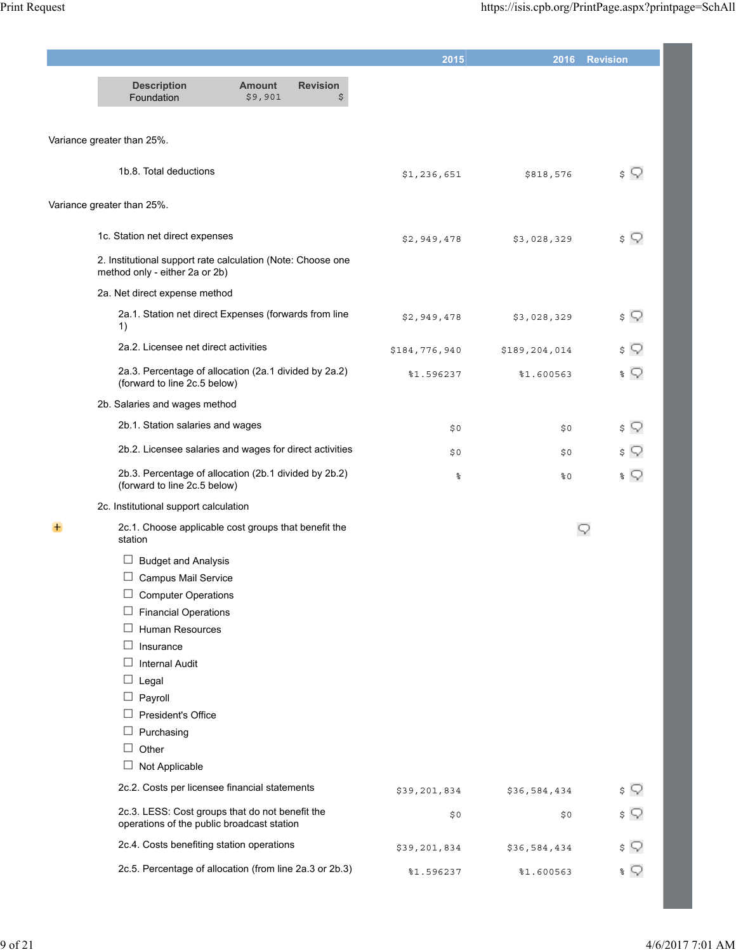|                                                                                                                                                                                                                                                                                                                               |                          |                       | 2015                  |                     | 2016 Revision            |
|-------------------------------------------------------------------------------------------------------------------------------------------------------------------------------------------------------------------------------------------------------------------------------------------------------------------------------|--------------------------|-----------------------|-----------------------|---------------------|--------------------------|
| <b>Description</b><br>Foundation                                                                                                                                                                                                                                                                                              | <b>Amount</b><br>\$9,901 | <b>Revision</b><br>\$ |                       |                     |                          |
| Variance greater than 25%.                                                                                                                                                                                                                                                                                                    |                          |                       |                       |                     |                          |
| 1b.8. Total deductions                                                                                                                                                                                                                                                                                                        |                          |                       | \$1,236,651           | \$818,576           | $\sqrt{ }$               |
| Variance greater than 25%.                                                                                                                                                                                                                                                                                                    |                          |                       |                       |                     |                          |
| 1c. Station net direct expenses                                                                                                                                                                                                                                                                                               |                          |                       | \$2,949,478           | \$3,028,329         | \$ Q                     |
| 2. Institutional support rate calculation (Note: Choose one<br>method only - either 2a or 2b)                                                                                                                                                                                                                                 |                          |                       |                       |                     |                          |
| 2a. Net direct expense method                                                                                                                                                                                                                                                                                                 |                          |                       |                       |                     |                          |
| 2a.1. Station net direct Expenses (forwards from line<br>1)                                                                                                                                                                                                                                                                   |                          |                       | \$2,949,478           | \$3,028,329         | $\sqrt{ }$               |
| 2a.2. Licensee net direct activities                                                                                                                                                                                                                                                                                          |                          |                       | \$184,776,940         | \$189,204,014       | \$ ?                     |
| 2a.3. Percentage of allocation (2a.1 divided by 2a.2)<br>(forward to line 2c.5 below)                                                                                                                                                                                                                                         |                          |                       | %1.596237             | %1.600563           | $\ast$ $\heartsuit$      |
| 2b. Salaries and wages method                                                                                                                                                                                                                                                                                                 |                          |                       |                       |                     |                          |
| 2b.1. Station salaries and wages                                                                                                                                                                                                                                                                                              |                          |                       | \$0                   | \$0                 | \$ ?                     |
| 2b.2. Licensee salaries and wages for direct activities                                                                                                                                                                                                                                                                       |                          |                       | \$0                   | \$0                 | \$ ?                     |
| 2b.3. Percentage of allocation (2b.1 divided by 2b.2)<br>(forward to line 2c.5 below)                                                                                                                                                                                                                                         |                          |                       | န္                    | 80                  | $\ast$ $\heartsuit$      |
| 2c. Institutional support calculation                                                                                                                                                                                                                                                                                         |                          |                       |                       |                     |                          |
| 2c.1. Choose applicable cost groups that benefit the<br>station                                                                                                                                                                                                                                                               |                          |                       |                       |                     | Q                        |
| ⊔<br><b>Budget and Analysis</b><br>$\Box$<br><b>Campus Mail Service</b><br><b>Computer Operations</b><br>⊔<br><b>Financial Operations</b><br>□<br>Human Resources<br>□<br>Insurance<br>⊔<br><b>Internal Audit</b><br>□<br>Legal<br>⊔<br>Payroll<br>□<br>President's Office<br>Purchasing<br>□<br>Other<br>□<br>Not Applicable |                          |                       |                       |                     |                          |
| 2c.2. Costs per licensee financial statements                                                                                                                                                                                                                                                                                 |                          |                       |                       |                     |                          |
| 2c.3. LESS: Cost groups that do not benefit the<br>operations of the public broadcast station                                                                                                                                                                                                                                 |                          |                       | \$39,201,834<br>\$0\$ | \$36,584,434<br>\$0 | $\sqrt{ }$<br>$\sqrt{ }$ |
| 2c.4. Costs benefiting station operations                                                                                                                                                                                                                                                                                     |                          |                       |                       |                     | \$ ?                     |
| 2c.5. Percentage of allocation (from line 2a.3 or 2b.3)                                                                                                                                                                                                                                                                       |                          |                       | \$39,201,834          | \$36,584,434        |                          |
|                                                                                                                                                                                                                                                                                                                               |                          |                       | %1.596237             | %1.600563           | $\sqrt[3]{\sqrt{2}}$     |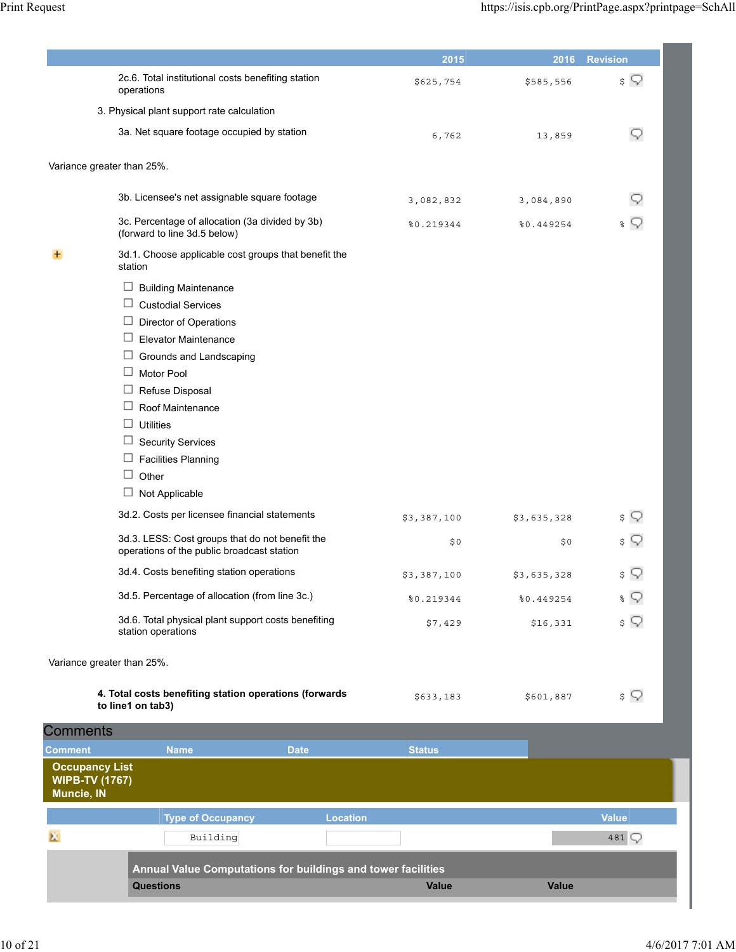|                                                              |                                                                                               |                 | 2015          | 2016        | <b>Revision</b> |
|--------------------------------------------------------------|-----------------------------------------------------------------------------------------------|-----------------|---------------|-------------|-----------------|
|                                                              | 2c.6. Total institutional costs benefiting station<br>operations                              |                 | \$625,754     | \$585,556   | $\sqrt{2}$      |
|                                                              | 3. Physical plant support rate calculation                                                    |                 |               |             |                 |
|                                                              | 3a. Net square footage occupied by station                                                    |                 | 6,762         | 13,859      | Q               |
| Variance greater than 25%.                                   |                                                                                               |                 |               |             |                 |
|                                                              | 3b. Licensee's net assignable square footage                                                  |                 | 3,082,832     | 3,084,890   |                 |
|                                                              | 3c. Percentage of allocation (3a divided by 3b)<br>(forward to line 3d.5 below)               |                 | 80.219344     | %0.449254   | နွ              |
|                                                              | 3d.1. Choose applicable cost groups that benefit the<br>station                               |                 |               |             |                 |
|                                                              | □<br><b>Building Maintenance</b>                                                              |                 |               |             |                 |
|                                                              | □<br><b>Custodial Services</b>                                                                |                 |               |             |                 |
|                                                              | □<br>Director of Operations                                                                   |                 |               |             |                 |
|                                                              | ⊔<br><b>Elevator Maintenance</b>                                                              |                 |               |             |                 |
|                                                              | ⊔<br>Grounds and Landscaping                                                                  |                 |               |             |                 |
|                                                              | □<br><b>Motor Pool</b>                                                                        |                 |               |             |                 |
|                                                              | □<br>Refuse Disposal                                                                          |                 |               |             |                 |
|                                                              | Roof Maintenance                                                                              |                 |               |             |                 |
|                                                              | $\Box$<br><b>Utilities</b>                                                                    |                 |               |             |                 |
|                                                              | □<br><b>Security Services</b>                                                                 |                 |               |             |                 |
|                                                              | ⊔<br><b>Facilities Planning</b>                                                               |                 |               |             |                 |
|                                                              | □<br>Other                                                                                    |                 |               |             |                 |
|                                                              | ⊔<br>Not Applicable                                                                           |                 |               |             |                 |
|                                                              | 3d.2. Costs per licensee financial statements                                                 |                 | \$3,387,100   | \$3,635,328 | \$              |
|                                                              | 3d.3. LESS: Cost groups that do not benefit the<br>operations of the public broadcast station |                 | \$0           | \$0         | s V             |
|                                                              | 3d.4. Costs benefiting station operations                                                     |                 | \$3,387,100   | \$3,635,328 | \$ Q            |
|                                                              | 3d.5. Percentage of allocation (from line 3c.)                                                |                 | 80.219344     | 80.449254   | $\sqrt{ }$      |
|                                                              | 3d.6. Total physical plant support costs benefiting<br>station operations                     |                 | \$7,429       | \$16,331    | $\sqrt{ }$      |
| Variance greater than 25%.                                   |                                                                                               |                 |               |             |                 |
|                                                              | 4. Total costs benefiting station operations (forwards<br>to line1 on tab3)                   |                 | \$633,183     | \$601,887   | $\sqrt{ }$      |
| <b>Comments</b>                                              |                                                                                               |                 |               |             |                 |
| Comment                                                      | <b>Name</b>                                                                                   | <b>Date</b>     | <b>Status</b> |             |                 |
| <b>Occupancy List</b><br><b>WIPB-TV (1767)</b><br>Muncie, IN |                                                                                               |                 |               |             |                 |
|                                                              | <b>Type of Occupancy</b>                                                                      | <b>Location</b> |               |             | <b>Value</b>    |
| ĸ.                                                           | Building                                                                                      |                 |               |             | 481 $\bigcirc$  |
|                                                              | Annual Value Computations for buildings and tower facilities                                  |                 |               |             |                 |
|                                                              |                                                                                               |                 |               |             |                 |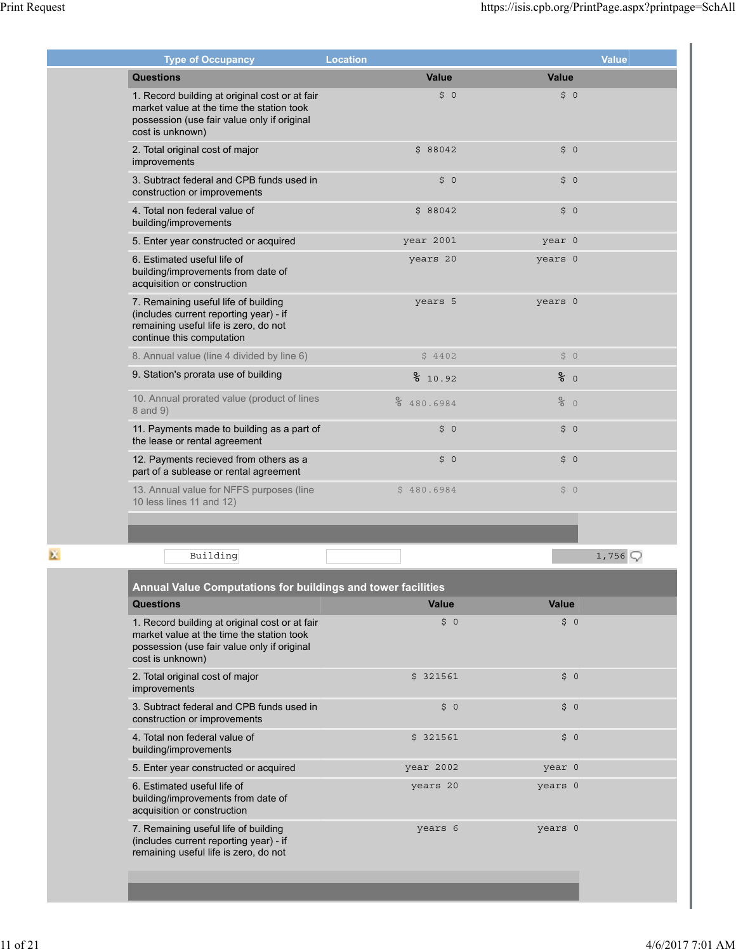| <b>Type of Occupancy</b>                                                                                                                                       | <b>Location</b> |                 | <b>Value</b> |
|----------------------------------------------------------------------------------------------------------------------------------------------------------------|-----------------|-----------------|--------------|
| <b>Questions</b>                                                                                                                                               | Value           | <b>Value</b>    |              |
| 1. Record building at original cost or at fair<br>market value at the time the station took<br>possession (use fair value only if original<br>cost is unknown) | 50              | \$0             |              |
| 2. Total original cost of major<br>improvements                                                                                                                | \$88042         | \$0             |              |
| 3. Subtract federal and CPB funds used in<br>construction or improvements                                                                                      | \$0             | \$0             |              |
| 4. Total non federal value of<br>building/improvements                                                                                                         | \$88042         | \$0             |              |
| 5. Enter year constructed or acquired                                                                                                                          | year 2001       | year 0          |              |
| 6. Estimated useful life of<br>building/improvements from date of<br>acquisition or construction                                                               | years 20        | years 0         |              |
| 7. Remaining useful life of building<br>(includes current reporting year) - if<br>remaining useful life is zero, do not<br>continue this computation           | years 5         | years 0         |              |
| 8. Annual value (line 4 divided by line 6)                                                                                                                     | \$4402          | \$0             |              |
| 9. Station's prorata use of building                                                                                                                           | 810.92          | $\frac{6}{6}$ 0 |              |
| 10. Annual prorated value (product of lines<br>8 and 9)                                                                                                        | % 480.6984      | $\frac{8}{6}$ 0 |              |
| 11. Payments made to building as a part of<br>the lease or rental agreement                                                                                    | \$0             | \$0             |              |
| 12. Payments recieved from others as a<br>part of a sublease or rental agreement                                                                               | \$0             | \$0             |              |
| 13. Annual value for NFFS purposes (line<br>10 less lines 11 and 12)                                                                                           | \$480.6984      | \$0             |              |
|                                                                                                                                                                |                 |                 |              |
| Building                                                                                                                                                       |                 |                 | 1,756        |

| Value<br>\$0 | <b>Value</b><br>\$0 |
|--------------|---------------------|
|              |                     |
|              |                     |
| \$321561     | \$0                 |
| \$0          | \$0                 |
| \$321561     | \$0                 |
| year 2002    | year 0              |
| years 20     | years 0             |
| years 6      | years 0             |
|              |                     |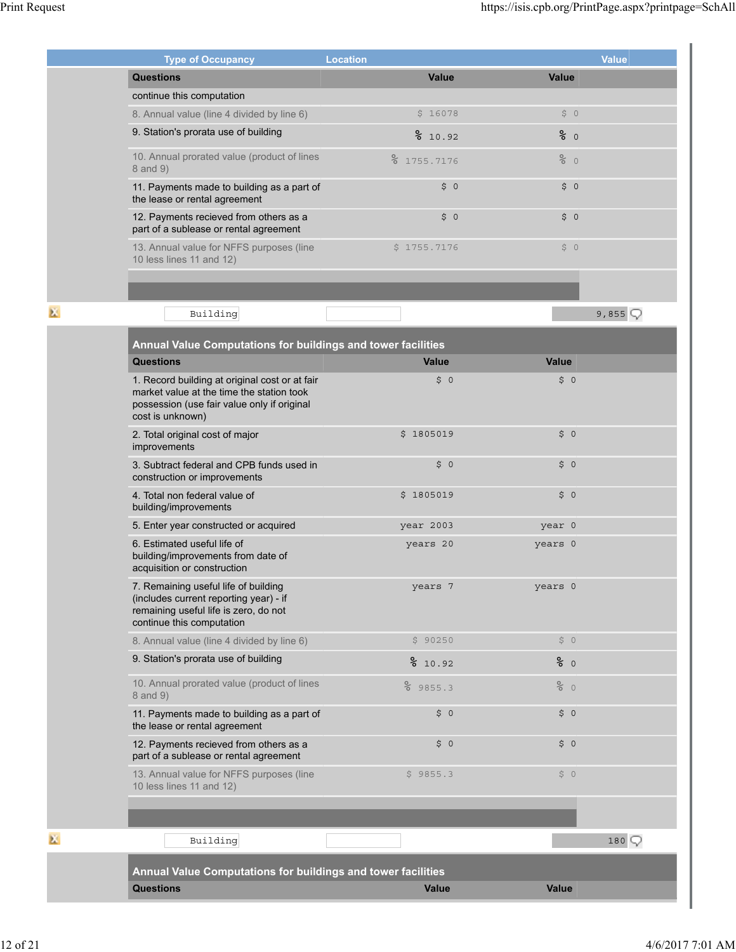|   | <b>Type of Occupancy</b>                                                                                                                                       | <b>Location</b>            |              | <b>Value</b> |
|---|----------------------------------------------------------------------------------------------------------------------------------------------------------------|----------------------------|--------------|--------------|
|   | <b>Questions</b>                                                                                                                                               | Value                      | Value        |              |
|   | continue this computation                                                                                                                                      |                            |              |              |
|   | 8. Annual value (line 4 divided by line 6)                                                                                                                     | \$16078                    | \$0          |              |
|   | 9. Station's prorata use of building                                                                                                                           | 810.92                     | 80           |              |
|   | 10. Annual prorated value (product of lines<br>8 and 9)                                                                                                        | $\frac{8}{6}$<br>1755.7176 | 80           |              |
|   | 11. Payments made to building as a part of<br>the lease or rental agreement                                                                                    | \$0                        | \$0          |              |
|   | 12. Payments recieved from others as a<br>part of a sublease or rental agreement                                                                               | \$0                        | \$0          |              |
|   | 13. Annual value for NFFS purposes (line<br>10 less lines 11 and 12)                                                                                           | \$1755.7176                | \$0          |              |
|   |                                                                                                                                                                |                            |              |              |
| × | Building                                                                                                                                                       |                            |              | 9,855 $Q$    |
|   | Annual Value Computations for buildings and tower facilities                                                                                                   |                            |              |              |
|   | <b>Questions</b>                                                                                                                                               | <b>Value</b>               | Value        |              |
|   | 1. Record building at original cost or at fair<br>market value at the time the station took<br>possession (use fair value only if original<br>cost is unknown) | \$0                        | \$0          |              |
|   | 2. Total original cost of major<br>improvements                                                                                                                | \$1805019                  | \$0          |              |
|   | 3. Subtract federal and CPB funds used in<br>construction or improvements                                                                                      | \$0                        | \$0          |              |
|   | 4. Total non federal value of<br>building/improvements                                                                                                         | \$1805019                  | \$0          |              |
|   | 5. Enter year constructed or acquired                                                                                                                          | year 2003                  | year 0       |              |
|   | 6. Estimated useful life of<br>building/improvements from date of<br>acquisition or construction                                                               | years 20                   | years 0      |              |
|   | 7. Remaining useful life of building<br>(includes current reporting year) - if<br>remaining useful life is zero, do not<br>continue this computation           | years 7                    | years 0      |              |
|   | 8. Annual value (line 4 divided by line 6)                                                                                                                     | \$90250                    | \$0          |              |
|   | 9. Station's prorata use of building                                                                                                                           | 810.92                     | 80           |              |
|   | 10. Annual prorated value (product of lines<br>8 and 9)                                                                                                        | 89855.3                    | 80           |              |
|   | 11. Payments made to building as a part of<br>the lease or rental agreement                                                                                    | \$0                        | \$0          |              |
|   | 12. Payments recieved from others as a<br>part of a sublease or rental agreement                                                                               | \$0                        | $\uparrow$ 0 |              |
|   | 13. Annual value for NFFS purposes (line<br>10 less lines 11 and 12)                                                                                           | \$9855.3                   | \$0          |              |
|   |                                                                                                                                                                |                            |              |              |
| 区 | Building                                                                                                                                                       |                            |              | 180          |
|   | Annual Value Computations for buildings and tower facilities                                                                                                   |                            |              |              |
|   | <b>Questions</b>                                                                                                                                               | <b>Value</b>               | <b>Value</b> |              |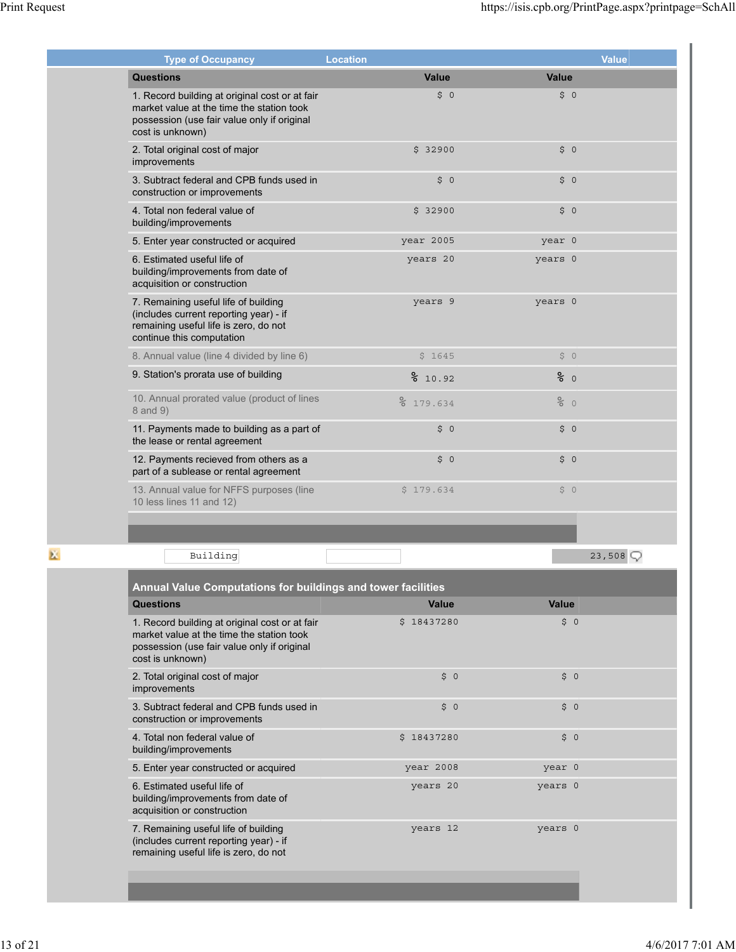| <b>Type of Occupancy</b>                                                                                                                                       | <b>Location</b> |                 | <b>Value</b> |
|----------------------------------------------------------------------------------------------------------------------------------------------------------------|-----------------|-----------------|--------------|
| <b>Questions</b>                                                                                                                                               | Value           | Value           |              |
| 1. Record building at original cost or at fair<br>market value at the time the station took<br>possession (use fair value only if original<br>cost is unknown) | \$0             | \$0             |              |
| 2. Total original cost of major<br>improvements                                                                                                                | \$32900         | \$0             |              |
| 3. Subtract federal and CPB funds used in<br>construction or improvements                                                                                      | \$0             | \$0             |              |
| 4. Total non federal value of<br>building/improvements                                                                                                         | \$32900         | \$0             |              |
| 5. Enter year constructed or acquired                                                                                                                          | year 2005       | year 0          |              |
| 6. Estimated useful life of<br>building/improvements from date of<br>acquisition or construction                                                               | years 20        | years 0         |              |
| 7. Remaining useful life of building<br>(includes current reporting year) - if<br>remaining useful life is zero, do not<br>continue this computation           | years 9         | years 0         |              |
| 8. Annual value (line 4 divided by line 6)                                                                                                                     | \$1645          | \$0             |              |
| 9. Station's prorata use of building                                                                                                                           | 810.92          | 80              |              |
| 10. Annual prorated value (product of lines<br>8 and 9)                                                                                                        | ${}^{2}$ 634    | $\frac{8}{6}$ 0 |              |
| 11. Payments made to building as a part of<br>the lease or rental agreement                                                                                    | \$0             | \$0             |              |
| 12. Payments recieved from others as a<br>part of a sublease or rental agreement                                                                               | \$0             | \$0             |              |
| 13. Annual value for NFFS purposes (line<br>10 less lines 11 and 12)                                                                                           | \$179.634       | \$0             |              |
|                                                                                                                                                                |                 |                 |              |
| Building                                                                                                                                                       |                 |                 | 23,508       |

| <b>Annual Value Computations for buildings and tower facilities</b>                                                                                            |                |         |  |  |  |
|----------------------------------------------------------------------------------------------------------------------------------------------------------------|----------------|---------|--|--|--|
| <b>Questions</b>                                                                                                                                               | Value          | Value   |  |  |  |
| 1. Record building at original cost or at fair<br>market value at the time the station took<br>possession (use fair value only if original<br>cost is unknown) | \$18437280     | \$0     |  |  |  |
| 2. Total original cost of major<br>improvements                                                                                                                | \$0            | \$0     |  |  |  |
| 3. Subtract federal and CPB funds used in<br>construction or improvements                                                                                      | \$0            | \$0     |  |  |  |
| 4. Total non federal value of<br>building/improvements                                                                                                         | Ś.<br>18437280 | \$0     |  |  |  |
| 5. Enter year constructed or acquired                                                                                                                          | year 2008      | year 0  |  |  |  |
| 6. Estimated useful life of<br>building/improvements from date of<br>acquisition or construction                                                               | years 20       | years 0 |  |  |  |
| 7. Remaining useful life of building<br>(includes current reporting year) - if<br>remaining useful life is zero, do not                                        | years 12       | years 0 |  |  |  |
|                                                                                                                                                                |                |         |  |  |  |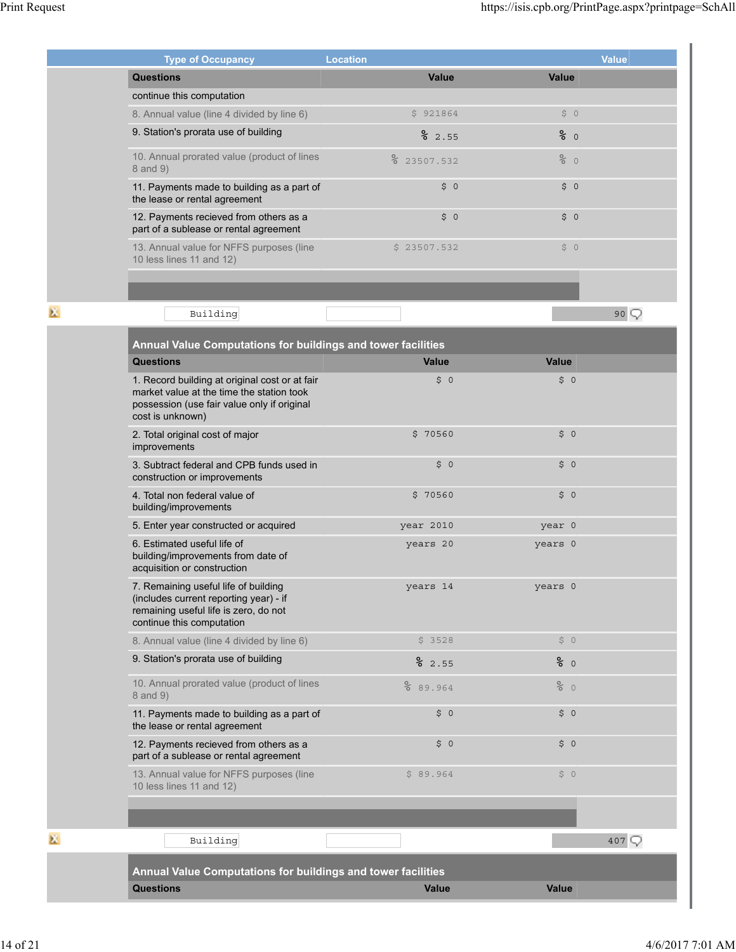|    | <b>Type of Occupancy</b>                                                                                                                                       | <b>Location</b>            |              | <b>Value</b> |
|----|----------------------------------------------------------------------------------------------------------------------------------------------------------------|----------------------------|--------------|--------------|
|    | <b>Questions</b>                                                                                                                                               | <b>Value</b>               | <b>Value</b> |              |
|    | continue this computation                                                                                                                                      |                            |              |              |
|    | 8. Annual value (line 4 divided by line 6)                                                                                                                     | \$921864                   | \$0          |              |
|    | 9. Station's prorata use of building                                                                                                                           | 2.55                       | 80           |              |
|    | 10. Annual prorated value (product of lines<br>8 and 9)                                                                                                        | $\frac{8}{6}$<br>23507.532 | 80           |              |
|    | 11. Payments made to building as a part of<br>the lease or rental agreement                                                                                    | \$0                        | \$0          |              |
|    | 12. Payments recieved from others as a<br>part of a sublease or rental agreement                                                                               | \$0                        | \$0          |              |
|    | 13. Annual value for NFFS purposes (line<br>10 less lines 11 and 12)                                                                                           | \$23507.532                | \$0          |              |
|    |                                                                                                                                                                |                            |              |              |
| 医  | Building                                                                                                                                                       |                            |              | 90Q          |
|    | <b>Annual Value Computations for buildings and tower facilities</b>                                                                                            |                            |              |              |
|    | <b>Questions</b>                                                                                                                                               | <b>Value</b>               | <b>Value</b> |              |
|    | 1. Record building at original cost or at fair<br>market value at the time the station took<br>possession (use fair value only if original<br>cost is unknown) | \$0                        | \$0          |              |
|    | 2. Total original cost of major<br>improvements                                                                                                                | \$70560                    | \$0          |              |
|    | 3. Subtract federal and CPB funds used in<br>construction or improvements                                                                                      | \$0                        | \$0          |              |
|    | 4. Total non federal value of<br>building/improvements                                                                                                         | \$70560                    | \$0          |              |
|    | 5. Enter year constructed or acquired                                                                                                                          | year 2010                  | year 0       |              |
|    | 6. Estimated useful life of<br>building/improvements from date of<br>acquisition or construction                                                               | years 20                   | years 0      |              |
|    | 7. Remaining useful life of building<br>(includes current reporting year) - if<br>remaining useful life is zero, do not<br>continue this computation           | years 14                   | years 0      |              |
|    | 8. Annual value (line 4 divided by line 6)                                                                                                                     | \$3528                     | \$0          |              |
|    | 9. Station's prorata use of building                                                                                                                           | 82.55                      | 80           |              |
|    | 10. Annual prorated value (product of lines<br>8 and 9)                                                                                                        | 8 89.964                   | 80           |              |
|    | 11. Payments made to building as a part of<br>the lease or rental agreement                                                                                    | \$0                        | \$0          |              |
|    | 12. Payments recieved from others as a<br>part of a sublease or rental agreement                                                                               | \$0                        | \$0          |              |
|    | 13. Annual value for NFFS purposes (line<br>10 less lines 11 and 12)                                                                                           | \$89.964                   | \$0          |              |
|    |                                                                                                                                                                |                            |              |              |
| K. | Building                                                                                                                                                       |                            |              | 407          |
|    | Annual Value Computations for buildings and tower facilities                                                                                                   |                            |              |              |
|    | <b>Questions</b>                                                                                                                                               | <b>Value</b>               | <b>Value</b> |              |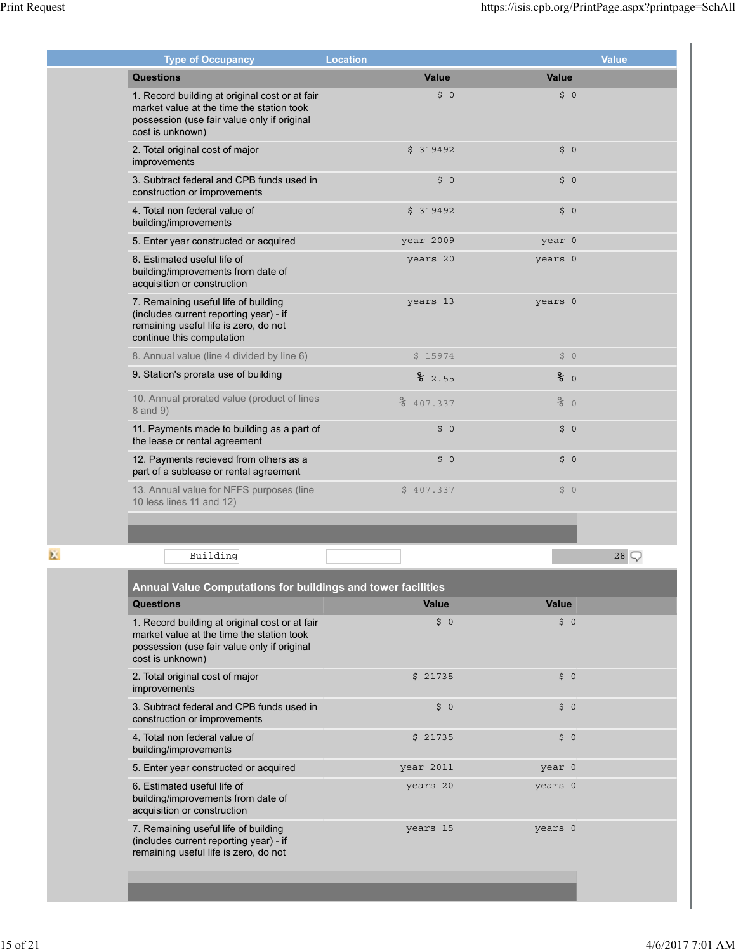| <b>Type of Occupancy</b>                                                                                                                                       | <b>Location</b>      |               | <b>Value</b> |
|----------------------------------------------------------------------------------------------------------------------------------------------------------------|----------------------|---------------|--------------|
| <b>Questions</b>                                                                                                                                               | Value                | Value         |              |
| 1. Record building at original cost or at fair<br>market value at the time the station took<br>possession (use fair value only if original<br>cost is unknown) | \$0                  | \$0           |              |
| 2. Total original cost of major<br>improvements                                                                                                                | \$319492             | \$0           |              |
| 3. Subtract federal and CPB funds used in<br>construction or improvements                                                                                      | \$0                  | \$0           |              |
| 4. Total non federal value of<br>building/improvements                                                                                                         | \$319492             | \$0           |              |
| 5. Enter year constructed or acquired                                                                                                                          | year 2009            | year 0        |              |
| 6. Estimated useful life of<br>building/improvements from date of<br>acquisition or construction                                                               | years 20             | years 0       |              |
| 7. Remaining useful life of building<br>(includes current reporting year) - if<br>remaining useful life is zero, do not<br>continue this computation           | years 13             | years 0       |              |
| 8. Annual value (line 4 divided by line 6)                                                                                                                     | \$15974              | \$0           |              |
| 9. Station's prorata use of building                                                                                                                           | 2.55                 | $\epsilon$ 0  |              |
| 10. Annual prorated value (product of lines<br>8 and 9)                                                                                                        | ${}^{8}_{6}$ 407.337 | $rac{6}{6}$ 0 |              |
| 11. Payments made to building as a part of<br>the lease or rental agreement                                                                                    | \$0                  | \$0           |              |
| 12. Payments recieved from others as a<br>part of a sublease or rental agreement                                                                               | \$0                  | \$0           |              |
| 13. Annual value for NFFS purposes (line<br>10 less lines 11 and 12)                                                                                           | \$407.337            | \$0           |              |
|                                                                                                                                                                |                      |               |              |
| Building                                                                                                                                                       |                      |               | 28           |

| Questions                                                                                                                                                      | <b>Value</b> | Value                                 |  |
|----------------------------------------------------------------------------------------------------------------------------------------------------------------|--------------|---------------------------------------|--|
| 1. Record building at original cost or at fair<br>market value at the time the station took<br>possession (use fair value only if original<br>cost is unknown) | \$0          | $\ddot{S}$ 0                          |  |
| 2. Total original cost of major<br>improvements                                                                                                                | \$21735      | $\ddot{\mathsf{S}}$<br>$\overline{0}$ |  |
| 3. Subtract federal and CPB funds used in<br>construction or improvements                                                                                      | \$0          | \$0                                   |  |
| 4. Total non federal value of<br>building/improvements                                                                                                         | \$21735      | \$0                                   |  |
| 5. Enter year constructed or acquired                                                                                                                          | year 2011    | year 0                                |  |
| 6. Estimated useful life of<br>building/improvements from date of<br>acquisition or construction                                                               | years 20     | years 0                               |  |
| 7. Remaining useful life of building<br>(includes current reporting year) - if<br>remaining useful life is zero, do not                                        | years 15     | years 0                               |  |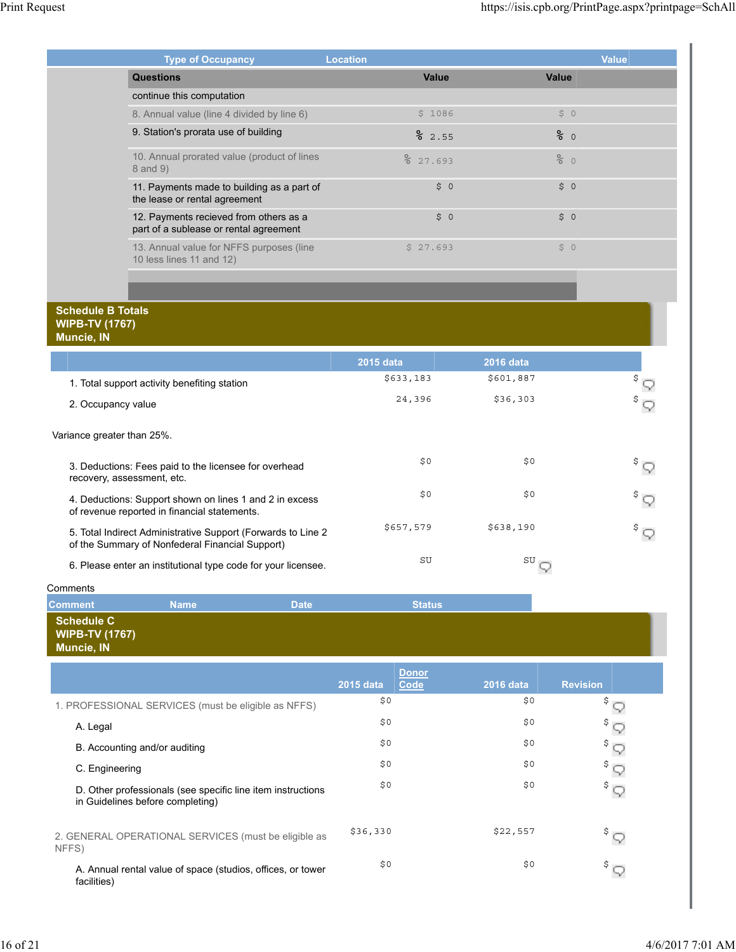| <b>Type of Occupancy</b>                                                         | <b>Location</b> |               | <b>Value</b> |
|----------------------------------------------------------------------------------|-----------------|---------------|--------------|
| <b>Questions</b>                                                                 | Value           | Value         |              |
| continue this computation                                                        |                 |               |              |
| 8. Annual value (line 4 divided by line 6)                                       | \$1086          | \$0           |              |
| 9. Station's prorata use of building                                             | 2.55            | 80            |              |
| 10. Annual prorated value (product of lines<br>8 and 9)                          | 27.693          | $rac{6}{6}$ 0 |              |
| 11. Payments made to building as a part of<br>the lease or rental agreement      | \$0             | \$0           |              |
| 12. Payments recieved from others as a<br>part of a sublease or rental agreement | \$0             | \$0           |              |
| 13. Annual value for NFFS purposes (line<br>10 less lines 11 and 12)             | \$27.693        | \$0           |              |

### **Schedule B Totals WIPB-TV (1767) Muncie, IN**

|                                                                                                                  | <b>2015 data</b> | <b>2016 data</b> |                   |
|------------------------------------------------------------------------------------------------------------------|------------------|------------------|-------------------|
| 1. Total support activity benefiting station                                                                     | \$633,183        | \$601,887        | $^{\$}$ $\subset$ |
| 2. Occupancy value                                                                                               | 24,396           | \$36,303         | $\frac{1}{2}$     |
| Variance greater than 25%.                                                                                       |                  |                  |                   |
| 3. Deductions: Fees paid to the licensee for overhead<br>recovery, assessment, etc.                              | \$0              | \$0              | \$ —              |
| 4. Deductions: Support shown on lines 1 and 2 in excess<br>of revenue reported in financial statements.          | \$0              | \$0              | $\frac{1}{2}$     |
| 5. Total Indirect Administrative Support (Forwards to Line 2)<br>of the Summary of Nonfederal Financial Support) | \$657,579        | \$638,190        | $\frac{1}{2}$     |
| 6. Please enter an institutional type code for your licensee.                                                    | SU               | SU               |                   |

**Comments** 

| ------------                        |             |             |               |  |
|-------------------------------------|-------------|-------------|---------------|--|
| <b>Comment</b>                      | <b>Name</b> | <b>Date</b> | <b>Status</b> |  |
| Schedule C                          |             |             |               |  |
| <b>WIPB-TV (1767)</b><br>Muncie, IN |             |             |               |  |
|                                     |             |             |               |  |

|                                                                                                 |           | <b>Donor</b> |           |                 |
|-------------------------------------------------------------------------------------------------|-----------|--------------|-----------|-----------------|
|                                                                                                 | 2015 data | Code         | 2016 data | <b>Revision</b> |
| 1. PROFESSIONAL SERVICES (must be eligible as NFFS)                                             | \$0       |              | \$0       | \$              |
| A. Legal                                                                                        | \$0       |              | \$0       | $^{\circ}$      |
| B. Accounting and/or auditing                                                                   | \$0       |              | \$0       | $\frac{1}{2}$   |
| C. Engineering                                                                                  | \$0       |              | \$0       | $\sqrt{5}$      |
| D. Other professionals (see specific line item instructions<br>in Guidelines before completing) | \$0       |              | \$0       | \$ —            |
| 2. GENERAL OPERATIONAL SERVICES (must be eligible as<br>NFFS)                                   | \$36,330  |              | \$22,557  | \$ բ            |
| A. Annual rental value of space (studios, offices, or tower<br>facilities)                      | \$0       |              | \$0       | $\frac{1}{2}$   |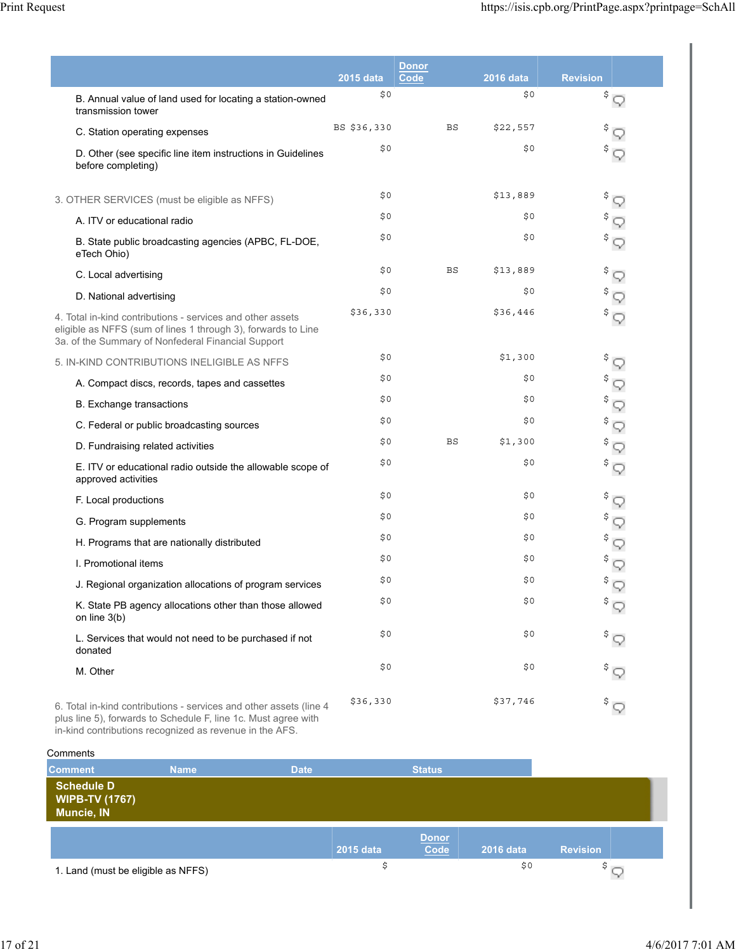|                                                                                                                                                                                   | <b>2015 data</b> | <b>Donor</b><br>Code | <b>2016 data</b> | <b>Revision</b>              |
|-----------------------------------------------------------------------------------------------------------------------------------------------------------------------------------|------------------|----------------------|------------------|------------------------------|
| B. Annual value of land used for locating a station-owned<br>transmission tower                                                                                                   | \$0              |                      | \$0\$            | $\sqrt[3]{5}$                |
| C. Station operating expenses                                                                                                                                                     | BS \$36,330      | BS                   | \$22,557         | \$                           |
| D. Other (see specific line item instructions in Guidelines<br>before completing)                                                                                                 | \$0              |                      | \$0              | \$<br>9                      |
| 3. OTHER SERVICES (must be eligible as NFFS)                                                                                                                                      | \$0              |                      | \$13,889         | $\sqrt[5]{5}$                |
| A. ITV or educational radio                                                                                                                                                       | \$0              |                      | \$0              | \$<br>9                      |
| B. State public broadcasting agencies (APBC, FL-DOE,<br>eTech Ohio)                                                                                                               | \$0              |                      | \$0              | $\sqrt[5]{5}$                |
| C. Local advertising                                                                                                                                                              | \$0              | BS                   | \$13,889         | \$<br>$\heartsuit$           |
| D. National advertising                                                                                                                                                           | \$0              |                      | \$0              | \$                           |
| 4. Total in-kind contributions - services and other assets<br>eligible as NFFS (sum of lines 1 through 3), forwards to Line<br>3a. of the Summary of Nonfederal Financial Support | \$36,330         |                      | \$36,446         | $\sqrt[5]{5}$                |
| 5. IN-KIND CONTRIBUTIONS INELIGIBLE AS NFFS                                                                                                                                       | \$0              |                      | \$1,300          | $^{\mathsf{S}}$ $\heartsuit$ |
| A. Compact discs, records, tapes and cassettes                                                                                                                                    | \$0              |                      | \$0              | \$<br>9                      |
| <b>B.</b> Exchange transactions                                                                                                                                                   | \$0              |                      | \$0              | $\sqrt[5]{\nabla}$           |
| C. Federal or public broadcasting sources                                                                                                                                         | \$0              |                      | \$0              | \$<br>9                      |
| D. Fundraising related activities                                                                                                                                                 | \$0              | <b>BS</b>            | \$1,300          | \$<br>9                      |
| E. ITV or educational radio outside the allowable scope of<br>approved activities                                                                                                 | \$0              |                      | \$0              | Ş<br>9                       |
| F. Local productions                                                                                                                                                              | \$0              |                      | \$0              | \$<br>9                      |
| G. Program supplements                                                                                                                                                            | \$0              |                      | \$0              | \$<br>9                      |
| H. Programs that are nationally distributed                                                                                                                                       | \$0              |                      | \$0              | $^{\$}$ $\heartsuit$         |
| I. Promotional items                                                                                                                                                              | \$0              |                      | \$0              | \$                           |
| J. Regional organization allocations of program services                                                                                                                          | \$0              |                      | \$0\$            | \$                           |
| K. State PB agency allocations other than those allowed<br>on line 3(b)                                                                                                           | \$Ο              |                      | \$Ο              | \$<br>9                      |
| L. Services that would not need to be purchased if not<br>donated                                                                                                                 | \$0              |                      | \$0              | $\sqrt[5]{\bigcirc}$         |
| M. Other                                                                                                                                                                          | \$0              |                      | \$0              | $\sqrt[5]{\nabla}$           |
| 6. Total in-kind contributions - services and other assets (line 4<br>plus line 5), forwards to Schedule F, line 1c. Must agree with                                              | \$36,330         |                      | \$37,746         | $\sqrt[5]{\nabla}$           |

in-kind contributions recognized as revenue in the AFS.

| Comments                                                        |             |             |           |                      |           |                 |  |
|-----------------------------------------------------------------|-------------|-------------|-----------|----------------------|-----------|-----------------|--|
| <b>Comment</b>                                                  | <b>Name</b> | <b>Date</b> |           | <b>Status</b>        |           |                 |  |
| <b>Schedule D</b><br><b>WIPB-TV (1767)</b><br><b>Muncie, IN</b> |             |             |           |                      |           |                 |  |
|                                                                 |             |             | 2015 data | <b>Donor</b><br>Code | 2016 data | <b>Revision</b> |  |
| 1. Land (must be eligible as NFFS)                              |             |             | \$        |                      | \$0       | \$              |  |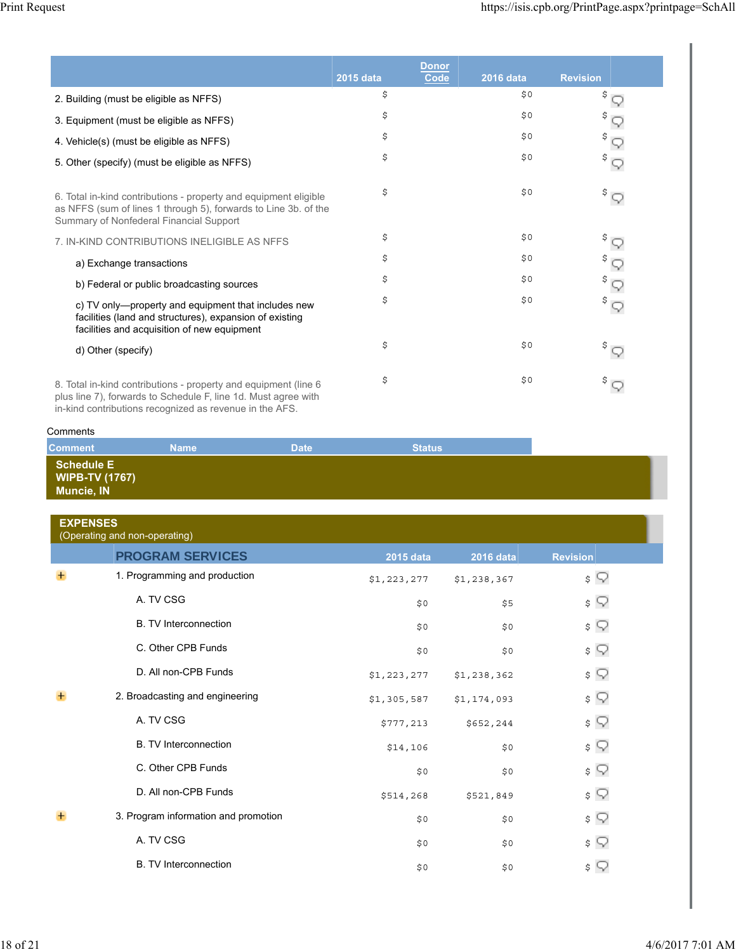|                                                                                                                                                                                |           | <b>Donor</b> |                  |                      |
|--------------------------------------------------------------------------------------------------------------------------------------------------------------------------------|-----------|--------------|------------------|----------------------|
|                                                                                                                                                                                | 2015 data | Code         | <b>2016 data</b> | <b>Revision</b>      |
| 2. Building (must be eligible as NFFS)                                                                                                                                         | \$        |              | \$0              | \$                   |
| 3. Equipment (must be eligible as NFFS)                                                                                                                                        | \$        |              | \$0              | \$                   |
| 4. Vehicle(s) (must be eligible as NFFS)                                                                                                                                       | \$        |              | \$0              | \$                   |
| 5. Other (specify) (must be eligible as NFFS)                                                                                                                                  | \$        |              | \$0              | $\sqrt[5]{\nabla}$   |
| 6. Total in-kind contributions - property and equipment eligible<br>as NFFS (sum of lines 1 through 5), forwards to Line 3b. of the<br>Summary of Nonfederal Financial Support | \$        |              | \$0              | $\sqrt[5]{\bigcirc}$ |
| 7. IN-KIND CONTRIBUTIONS INELIGIBLE AS NFFS                                                                                                                                    | \$        |              | \$0              | $\sqrt[5]{\bigcirc}$ |
| a) Exchange transactions                                                                                                                                                       | \$        |              | \$0              |                      |
| b) Federal or public broadcasting sources                                                                                                                                      | \$        |              | \$0              | \$<br>9              |
| c) TV only—property and equipment that includes new<br>facilities (land and structures), expansion of existing<br>facilities and acquisition of new equipment                  | \$        |              | \$0              | $\sqrt[5]{\nabla}$   |
| d) Other (specify)                                                                                                                                                             | \$        |              | \$0              | $\sqrt[5]{\bigcirc}$ |
| 8. Total in-kind contributions - property and equipment (line 6<br>plus line 7), forwards to Schedule F, line 1d. Must agree with                                              | \$        |              | \$0              | \$                   |

in-kind contributions recognized as revenue in the AFS.

| Comments |  |
|----------|--|
|          |  |

| <b>Comment</b>                                                  | <b>Name</b> | <b>Date</b> | <b>Status</b> |  |
|-----------------------------------------------------------------|-------------|-------------|---------------|--|
| <b>Schedule E</b><br><b>WIPB-TV (1767)</b><br><b>Muncie, IN</b> |             |             |               |  |

| <b>EXPENSES</b> | (Operating and non-operating)        |                  |                  |                 |  |
|-----------------|--------------------------------------|------------------|------------------|-----------------|--|
|                 | PROGRAM SERVICES                     | <b>2015 data</b> | <b>2016 data</b> | <b>Revision</b> |  |
| $+$             | 1. Programming and production        | \$1,223,277      | \$1,238,367      | \$ ?            |  |
|                 | A. TV CSG                            | \$0              | \$5              | \$ ?            |  |
|                 | <b>B. TV Interconnection</b>         | \$0              | \$0              | \$ ?            |  |
|                 | C. Other CPB Funds                   | \$0              | \$0              | \$ ?            |  |
|                 | D. All non-CPB Funds                 | \$1,223,277      | \$1,238,362      | $\sqrt{ }$      |  |
|                 | 2. Broadcasting and engineering      | \$1,305,587      | \$1,174,093      | \$ ?            |  |
|                 | A. TV CSG                            | \$777,213        | \$652,244        | \$ ?            |  |
|                 | <b>B. TV Interconnection</b>         | \$14,106         | \$0              | $\sqrt{ }$      |  |
|                 | C. Other CPB Funds                   | \$0              | \$0              | \$ ?            |  |
|                 | D. All non-CPB Funds                 | \$514,268        | \$521,849        | $\sqrt{ }$      |  |
|                 | 3. Program information and promotion | \$0              | \$0              | \$ ?            |  |
|                 | A. TV CSG                            | \$0              | \$0              | $\sqrt{2}$      |  |
|                 | <b>B. TV Interconnection</b>         | \$0              | \$0              | \$<br>v         |  |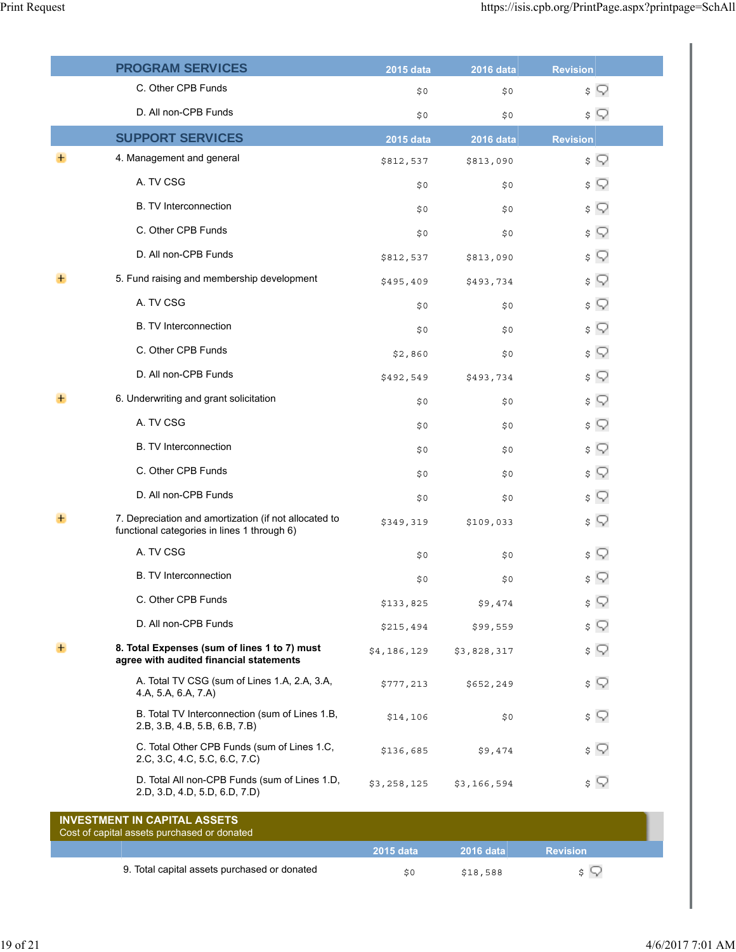|   | PROGRAM SERVICES                                                                                     | <b>2015 data</b> | $2016$ data      | <b>Revision</b> |
|---|------------------------------------------------------------------------------------------------------|------------------|------------------|-----------------|
|   | C. Other CPB Funds                                                                                   | \$0              | \$0              | $\sqrt{ }$      |
|   | D. All non-CPB Funds                                                                                 | \$0              | \$0              | $\sqrt{ }$      |
|   | <b>SUPPORT SERVICES</b>                                                                              | 2015 data        | <b>2016 data</b> | <b>Revision</b> |
|   | 4. Management and general                                                                            | \$812,537        | \$813,090        | $\sqrt{ }$      |
|   | A. TV CSG                                                                                            | \$0              | \$0              | \$ ?            |
|   | <b>B. TV Interconnection</b>                                                                         | \$0              | \$0              | \$ ?            |
|   | C. Other CPB Funds                                                                                   | \$0              | \$0              | $\sqrt{ }$      |
|   | D. All non-CPB Funds                                                                                 | \$812,537        | \$813,090        | $\sqrt{ }$      |
|   | 5. Fund raising and membership development                                                           | \$495,409        | \$493,734        | \$ ?            |
|   | A. TV CSG                                                                                            | \$0              | \$0              | $\sqrt{ }$      |
|   | <b>B. TV Interconnection</b>                                                                         | \$0              | \$0              | $\sqrt{ }$      |
|   | C. Other CPB Funds                                                                                   | \$2,860          | \$0              | \$ ?            |
|   | D. All non-CPB Funds                                                                                 | \$492,549        | \$493,734        | $\sqrt{ }$      |
|   | 6. Underwriting and grant solicitation                                                               | \$0              | \$0              | $\sqrt{ }$      |
|   | A. TV CSG                                                                                            | \$0              | \$0              | \$ ?            |
|   | <b>B. TV Interconnection</b>                                                                         | \$0              | \$0              | $\sqrt{ }$      |
|   | C. Other CPB Funds                                                                                   | \$0              | \$0              | $\sqrt{ }$      |
|   | D. All non-CPB Funds                                                                                 | \$0              | \$0              | \$ ?            |
|   | 7. Depreciation and amortization (if not allocated to<br>functional categories in lines 1 through 6) | \$349,319        | \$109,033        | $\sqrt{ }$      |
|   | A. TV CSG                                                                                            | \$0              | \$0              | \$ ?            |
|   | <b>B.</b> TV Interconnection                                                                         | \$0              | \$0              | \$ Q            |
|   | C. Other CPB Funds                                                                                   | \$133,825        | \$9,474          | \$ ?            |
|   | D. All non-CPB Funds                                                                                 | \$215,494        | \$99,559         | $\sqrt{ }$      |
| ÷ | 8. Total Expenses (sum of lines 1 to 7) must<br>agree with audited financial statements              | \$4,186,129      | \$3,828,317      | $\sqrt{ }$      |
|   | A. Total TV CSG (sum of Lines 1.A, 2.A, 3.A,<br>4.A, 5.A, 6.A, 7.A)                                  | \$777,213        | \$652,249        | \$ Q            |
|   | B. Total TV Interconnection (sum of Lines 1.B,<br>2.B, 3.B, 4.B, 5.B, 6.B, 7.B)                      | \$14,106         | \$0              | $\sqrt{ }$      |
|   | C. Total Other CPB Funds (sum of Lines 1.C,<br>2.C, 3.C, 4.C, 5.C, 6.C, 7.C)                         | \$136,685        | \$9,474          | \$ ?            |
|   | D. Total All non-CPB Funds (sum of Lines 1.D,<br>2.D, 3.D, 4.D, 5.D, 6.D, 7.D)                       | \$3,258,125      | \$3,166,594      | \$ Q            |
|   | <b>INVESTMENT IN CAPITAL ASSETS</b><br>Cost of capital assets purchased or donated                   |                  |                  |                 |
|   |                                                                                                      | 2015 data        | <b>2016 data</b> | <b>Revision</b> |
|   | 9. Total capital assets purchased or donated                                                         | \$0              | \$18,588         | $\sqrt{2}$      |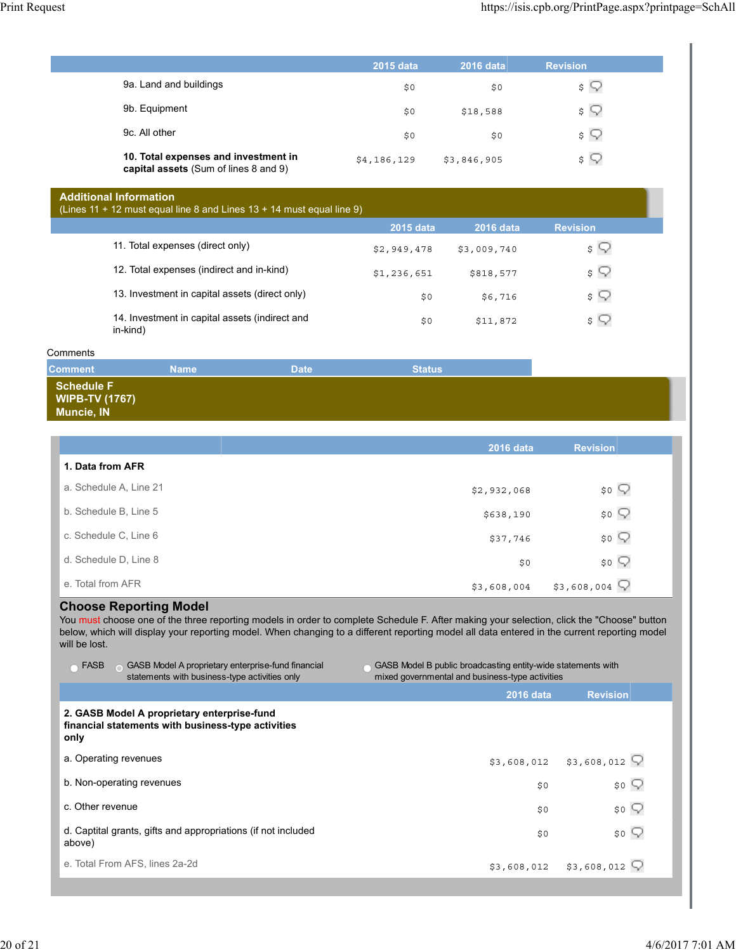|                                                                               | 2015 data   | <b>2016 data</b> | <b>Revision</b>         |
|-------------------------------------------------------------------------------|-------------|------------------|-------------------------|
| 9a. Land and buildings                                                        | \$0         | \$0              | $\mathsf{s} \vee$       |
| 9b. Equipment                                                                 | \$0         | \$18,588         | $\sqrt{2}$              |
| 9c. All other                                                                 | \$0         | \$0              | $\mathsf{s} \mathsf{Q}$ |
| 10. Total expenses and investment in<br>capital assets (Sum of lines 8 and 9) | \$4,186,129 | \$3,846,905      | $\mathsf{s} \mathsf{Q}$ |

| <b>Additional Information</b>      |
|------------------------------------|
| $\mu$ inge 11 + 12 must gauge ling |

| (Lines 11 + 12 must equal line 8 and Lines $13 + 14$ must equal line 9) |             |                  |                         |
|-------------------------------------------------------------------------|-------------|------------------|-------------------------|
|                                                                         | 2015 data   | <b>2016 data</b> | <b>Revision</b>         |
| 11. Total expenses (direct only)                                        | \$2,949,478 | \$3,009,740      | \$ W                    |
| 12. Total expenses (indirect and in-kind)                               | \$1,236,651 | \$818,577        | $\sqrt{2}$              |
| 13. Investment in capital assets (direct only)                          | \$0         | \$6,716          | $\mathsf{s} \mathsf{Q}$ |
| 14. Investment in capital assets (indirect and<br>in-kind)              | \$0         | \$11,872         | $\mathsf{s} \mathsf{Q}$ |

### **Comments**

| <b>Comment</b>                                                  | <b>Name</b> | <b>Date</b> | <b>Status</b> |  |
|-----------------------------------------------------------------|-------------|-------------|---------------|--|
| <b>Schedule F</b><br><b>WIPB-TV (1767)</b><br><b>Muncie, IN</b> |             |             |               |  |

|                        | 2016 data   | <b>Revision</b>   |
|------------------------|-------------|-------------------|
| 1. Data from AFR       |             |                   |
| a. Schedule A, Line 21 | \$2,932,068 | $$^{\circ}$       |
| b. Schedule B, Line 5  | \$638,190   | $$^{\circ}$       |
| c. Schedule C, Line 6  | \$37,746    | $$0$ $\heartsuit$ |
| d. Schedule D, Line 8  | \$0         | $$^{\circ}$       |
| e. Total from AFR      | \$3,608,004 | \$3,608,004       |

# **Choose Reporting Model**

You must choose one of the three reporting models in order to complete Schedule F. After making your selection, click the "Choose" button below, which will display your reporting model. When changing to a different reporting model all data entered in the current reporting model will be lost.

| <b>FASB</b><br>GASB Model A proprietary enterprise-fund financial<br>statements with business-type activities only | GASB Model B public broadcasting entity-wide statements with<br>mixed governmental and business-type activities |                                               |  |
|--------------------------------------------------------------------------------------------------------------------|-----------------------------------------------------------------------------------------------------------------|-----------------------------------------------|--|
|                                                                                                                    | 2016 data                                                                                                       | <b>Revision</b>                               |  |
| 2. GASB Model A proprietary enterprise-fund<br>financial statements with business-type activities<br>only          |                                                                                                                 |                                               |  |
| a. Operating revenues                                                                                              |                                                                                                                 | $$3,608,012$ $$3,608,012$ $\bigcirc$          |  |
| b. Non-operating revenues                                                                                          | \$0                                                                                                             | $$^{\circ}$                                   |  |
| c. Other revenue                                                                                                   | \$0                                                                                                             | \$0                                           |  |
| d. Captital grants, gifts and appropriations (if not included<br>above)                                            | \$0                                                                                                             | \$0                                           |  |
| e. Total From AFS, lines 2a-2d                                                                                     |                                                                                                                 | $$3,608,012$ $$3,608,012$ $\overline{\nabla}$ |  |